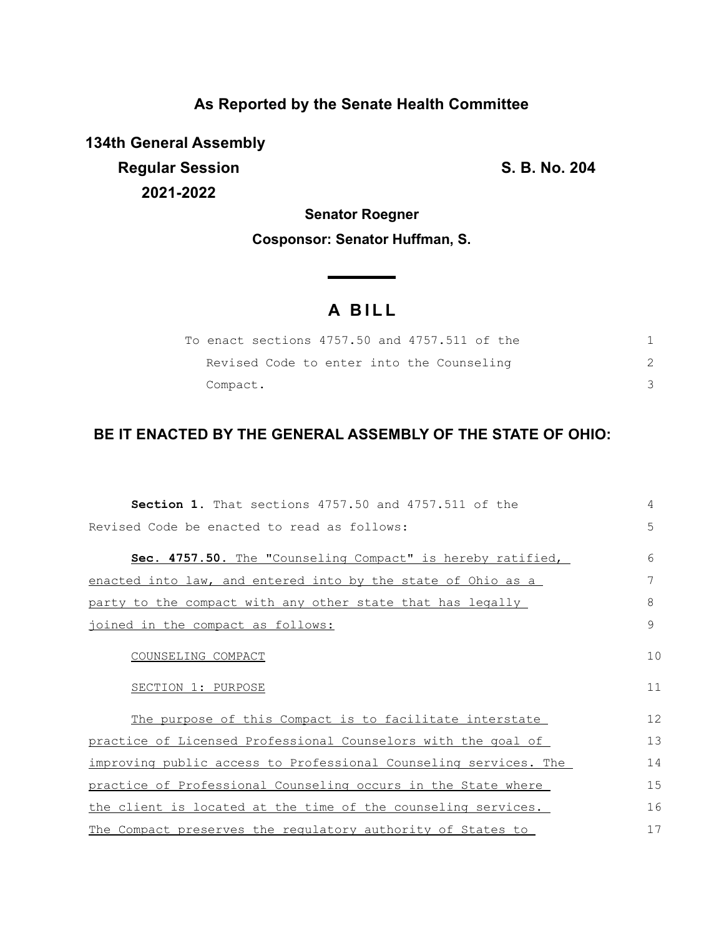### **As Reported by the Senate Health Committee**

**134th General Assembly Regular Session S. B. No. 204 2021-2022**

## **Senator Roegner Cosponsor: Senator Huffman, S.**

# **A B I L L**

| To enact sections 4757.50 and 4757.511 of the |  |
|-----------------------------------------------|--|
| Revised Code to enter into the Counseling     |  |
| Compact.                                      |  |

### **BE IT ENACTED BY THE GENERAL ASSEMBLY OF THE STATE OF OHIO:**

| <b>Section 1.</b> That sections 4757.50 and 4757.511 of the      | 4             |
|------------------------------------------------------------------|---------------|
| Revised Code be enacted to read as follows:                      | 5             |
| Sec. 4757.50. The "Counseling Compact" is hereby ratified,       | 6             |
| enacted into law, and entered into by the state of Ohio as a     | 7             |
| party to the compact with any other state that has legally       | 8             |
| joined in the compact as follows:                                | $\mathcal{G}$ |
| COUNSELING COMPACT                                               | 10            |
| SECTION 1: PURPOSE                                               | 11            |
| The purpose of this Compact is to facilitate interstate          | 12            |
| practice of Licensed Professional Counselors with the goal of    | 13            |
| improving public access to Professional Counseling services. The | 14            |
| practice of Professional Counseling occurs in the State where    | 15            |
| the client is located at the time of the counseling services.    | 16            |
| The Compact preserves the requiatory authority of States to      | 17            |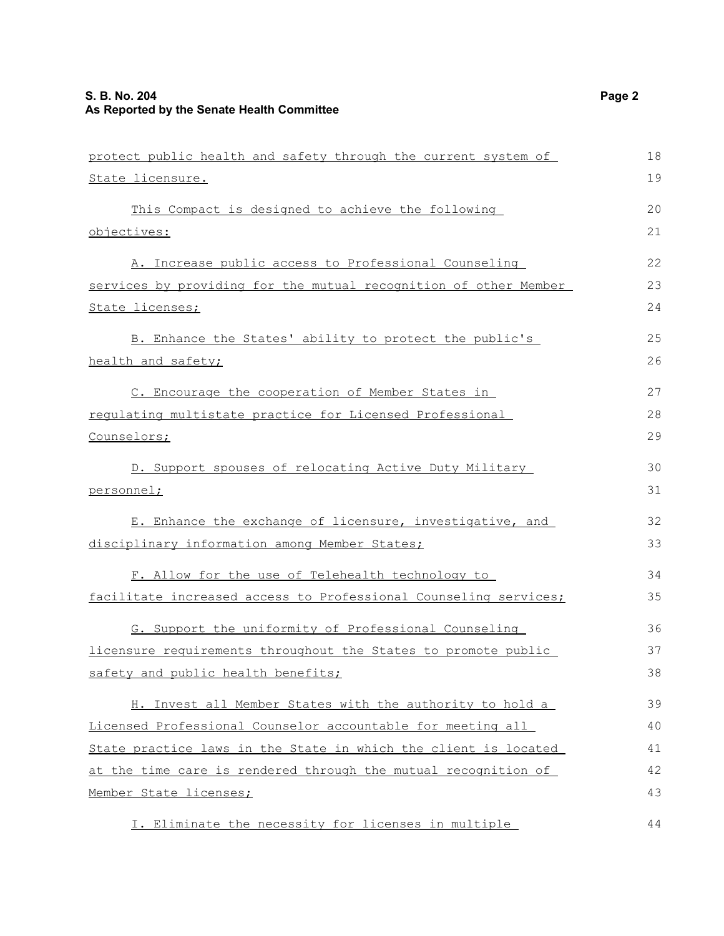| protect public health and safety through the current system of   | 18 |
|------------------------------------------------------------------|----|
| <u>State licensure.</u>                                          | 19 |
| This Compact is designed to achieve the following                | 20 |
| objectives:                                                      | 21 |
| A. Increase public access to Professional Counseling             | 22 |
| services by providing for the mutual recognition of other Member | 23 |
| <u>State licenses;</u>                                           | 24 |
| B. Enhance the States' ability to protect the public's           | 25 |
| health and safety;                                               | 26 |
| C. Encourage the cooperation of Member States in                 | 27 |
| requlating multistate practice for Licensed Professional         | 28 |
| <u>Counselors;</u>                                               | 29 |
| D. Support spouses of relocating Active Duty Military            | 30 |
| <u>personnel;</u>                                                | 31 |
| E. Enhance the exchange of licensure, investigative, and         | 32 |
| disciplinary information among Member States;                    | 33 |
| F. Allow for the use of Telehealth technology to                 | 34 |
| facilitate increased access to Professional Counseling services; | 35 |
| G. Support the uniformity of Professional Counseling             | 36 |
| licensure requirements throughout the States to promote public   | 37 |
| safety and public health benefits;                               | 38 |
| H. Invest all Member States with the authority to hold a         | 39 |
| Licensed Professional Counselor accountable for meeting all      | 40 |
| State practice laws in the State in which the client is located  | 41 |
| at the time care is rendered through the mutual recognition of   | 42 |
| <u>Member State licenses;</u>                                    | 43 |
| I. Eliminate the necessity for licenses in multiple              | 44 |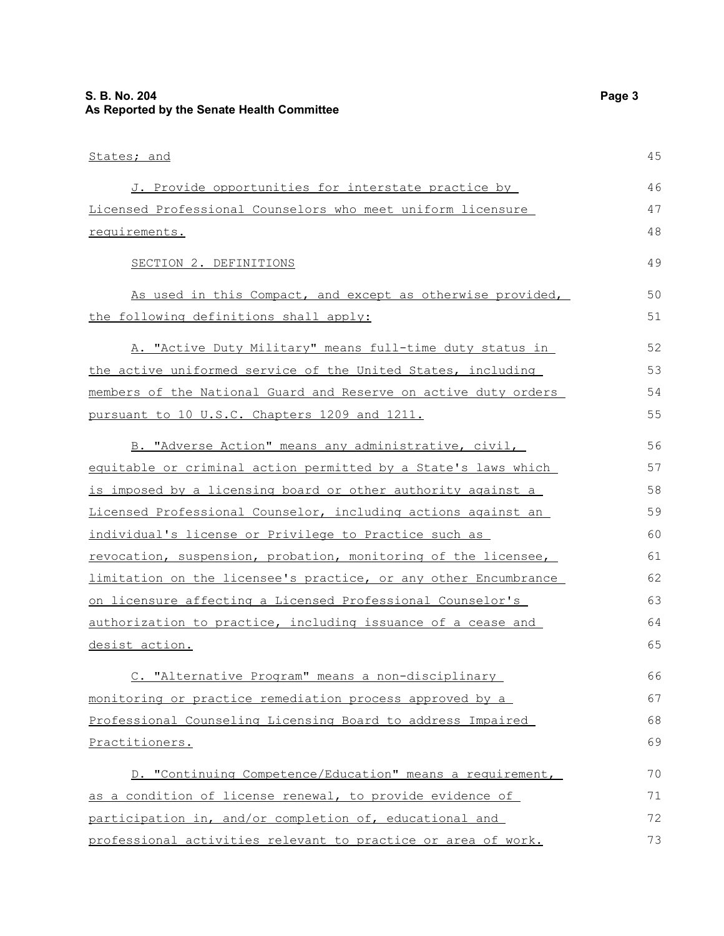| States; and                                                     | 45 |
|-----------------------------------------------------------------|----|
| J. Provide opportunities for interstate practice by             | 46 |
| Licensed Professional Counselors who meet uniform licensure     | 47 |
| requirements.                                                   | 48 |
| SECTION 2. DEFINITIONS                                          | 49 |
| As used in this Compact, and except as otherwise provided,      | 50 |
| the following definitions shall apply:                          | 51 |
| A. "Active Duty Military" means full-time duty status in        | 52 |
| the active uniformed service of the United States, including    | 53 |
| members of the National Guard and Reserve on active duty orders | 54 |
| pursuant to 10 U.S.C. Chapters 1209 and 1211.                   | 55 |
| B. "Adverse Action" means any administrative, civil,            | 56 |
| equitable or criminal action permitted by a State's laws which  | 57 |
| is imposed by a licensing board or other authority against a    | 58 |
| Licensed Professional Counselor, including actions against an   | 59 |
| individual's license or Privilege to Practice such as           | 60 |
| revocation, suspension, probation, monitoring of the licensee,  | 61 |
| limitation on the licensee's practice, or any other Encumbrance | 62 |
| on licensure affecting a Licensed Professional Counselor's      | 63 |
| authorization to practice, including issuance of a cease and    | 64 |
| desist action.                                                  | 65 |
| C. "Alternative Program" means a non-disciplinary               | 66 |
| monitoring or practice remediation process approved by a        | 67 |
| Professional Counseling Licensing Board to address Impaired     | 68 |
| Practitioners.                                                  | 69 |
| D. "Continuing Competence/Education" means a requirement,       | 70 |
| as a condition of license renewal, to provide evidence of       | 71 |
| participation in, and/or completion of, educational and         | 72 |
| professional activities relevant to practice or area of work.   | 73 |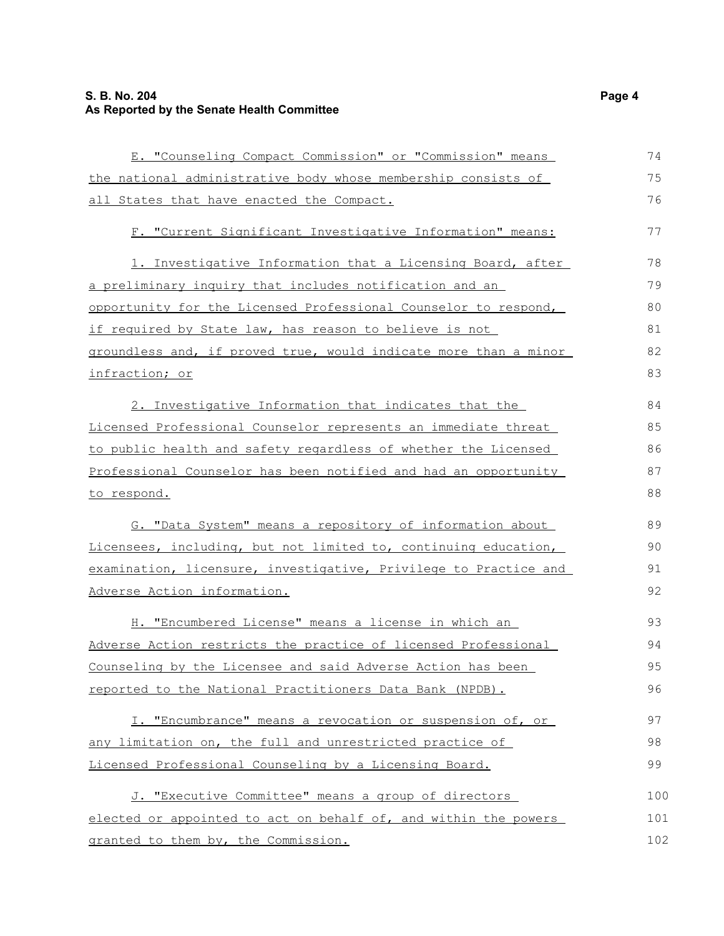#### **S. B. No. 204 Page 4 As Reported by the Senate Health Committee**

| E. "Counseling Compact Commission" or "Commission" means         | 74  |
|------------------------------------------------------------------|-----|
| the national administrative body whose membership consists of    | 75  |
| all States that have enacted the Compact.                        | 76  |
| F. "Current Significant Investigative Information" means:        | 77  |
| 1. Investigative Information that a Licensing Board, after       | 78  |
| a preliminary inquiry that includes notification and an          | 79  |
| opportunity for the Licensed Professional Counselor to respond,  | 80  |
| if required by State law, has reason to believe is not           | 81  |
| groundless and, if proved true, would indicate more than a minor | 82  |
| infraction; or                                                   | 83  |
| 2. Investigative Information that indicates that the             | 84  |
| Licensed Professional Counselor represents an immediate threat   | 85  |
| to public health and safety regardless of whether the Licensed   | 86  |
| Professional Counselor has been notified and had an opportunity  | 87  |
| to respond.                                                      | 88  |
| G. "Data System" means a repository of information about         | 89  |
| Licensees, including, but not limited to, continuing education,  | 90  |
| examination, licensure, investigative, Privilege to Practice and | 91  |
| Adverse Action information.                                      | 92  |
| H. "Encumbered License" means a license in which an              | 93  |
| Adverse Action restricts the practice of licensed Professional   | 94  |
| Counseling by the Licensee and said Adverse Action has been      | 95  |
| reported to the National Practitioners Data Bank (NPDB).         | 96  |
| I. "Encumbrance" means a revocation or suspension of, or         | 97  |
| any limitation on, the full and unrestricted practice of         | 98  |
| Licensed Professional Counseling by a Licensing Board.           | 99  |
| J. "Executive Committee" means a group of directors              | 100 |
| elected or appointed to act on behalf of, and within the powers  | 101 |
| granted to them by, the Commission.                              | 102 |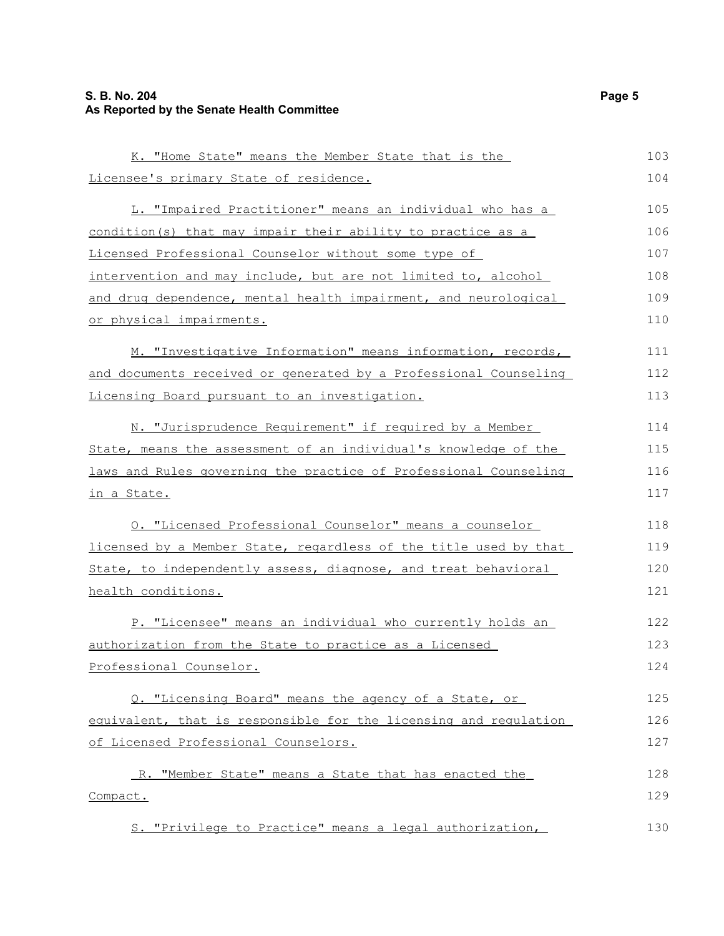#### **S. B. No. 204 Page 5 As Reported by the Senate Health Committee**

| K. "Home State" means the Member State that is the               | 103 |
|------------------------------------------------------------------|-----|
| Licensee's primary State of residence.                           | 104 |
| L. "Impaired Practitioner" means an individual who has a         | 105 |
| condition(s) that may impair their ability to practice as a      | 106 |
| Licensed Professional Counselor without some type of             | 107 |
| intervention and may include, but are not limited to, alcohol    | 108 |
| and drug dependence, mental health impairment, and neurological  | 109 |
| or physical impairments.                                         | 110 |
| M. "Investigative Information" means information, records,       | 111 |
| and documents received or generated by a Professional Counseling | 112 |
| Licensing Board pursuant to an investigation.                    | 113 |
| N. "Jurisprudence Requirement" if required by a Member           | 114 |
| State, means the assessment of an individual's knowledge of the  | 115 |
| laws and Rules governing the practice of Professional Counseling | 116 |
| in a State.                                                      | 117 |
| O. "Licensed Professional Counselor" means a counselor           | 118 |
| licensed by a Member State, regardless of the title used by that | 119 |
| State, to independently assess, diagnose, and treat behavioral   | 120 |
| health conditions.                                               | 121 |
| P. "Licensee" means an individual who currently holds an         | 122 |
| authorization from the State to practice as a Licensed           | 123 |
| Professional Counselor.                                          | 124 |
| Q. "Licensing Board" means the agency of a State, or             | 125 |
| equivalent, that is responsible for the licensing and regulation | 126 |
| of Licensed Professional Counselors.                             | 127 |
| R. "Member State" means a State that has enacted the             | 128 |
| Compact.                                                         | 129 |
| S. "Privilege to Practice" means a legal authorization,          | 130 |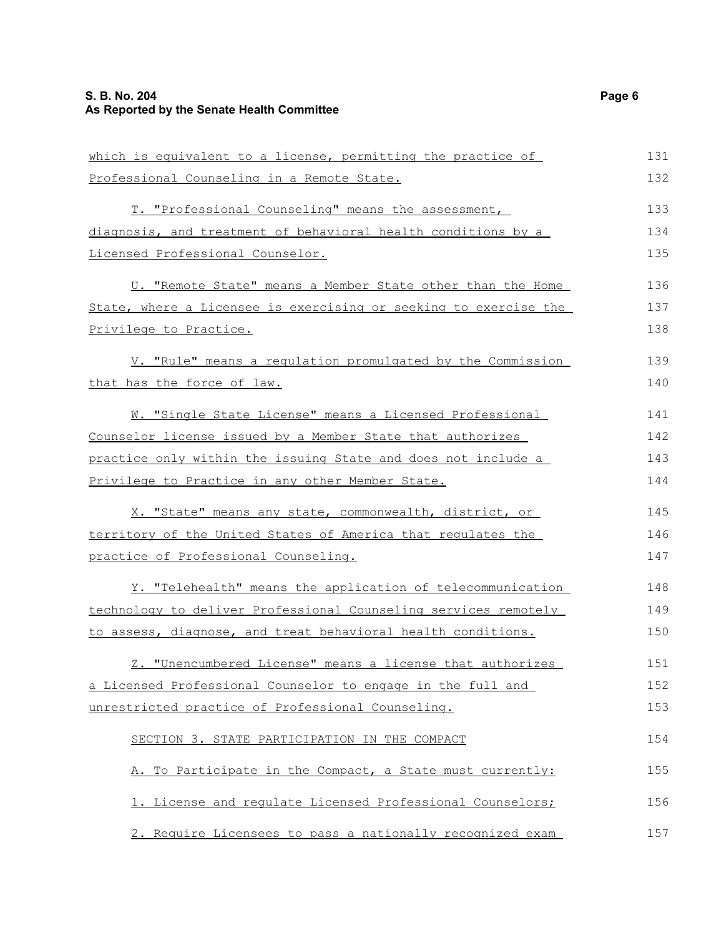| which is equivalent to a license, permitting the practice of     | 131 |
|------------------------------------------------------------------|-----|
| Professional Counseling in a Remote State.                       | 132 |
| T. "Professional Counseling" means the assessment,               | 133 |
| diagnosis, and treatment of behavioral health conditions by a    | 134 |
| Licensed Professional Counselor.                                 | 135 |
| U. "Remote State" means a Member State other than the Home       | 136 |
| State, where a Licensee is exercising or seeking to exercise the | 137 |
| Privilege to Practice.                                           | 138 |
| V. "Rule" means a regulation promulgated by the Commission       | 139 |
| that has the force of law.                                       | 140 |
| W. "Single State License" means a Licensed Professional          | 141 |
| Counselor license issued by a Member State that authorizes       | 142 |
| practice only within the issuing State and does not include a    | 143 |
| Privilege to Practice in any other Member State.                 | 144 |
| X. "State" means any state, commonwealth, district, or           | 145 |
| territory of the United States of America that regulates the     | 146 |
| practice of Professional Counseling.                             | 147 |
| Y. "Telehealth" means the application of telecommunication       | 148 |
| technology to deliver Professional Counseling services remotely  | 149 |
| to assess, diagnose, and treat behavioral health conditions.     | 150 |
| Z. "Unencumbered License" means a license that authorizes        | 151 |
| a Licensed Professional Counselor to engage in the full and      | 152 |
| unrestricted practice of Professional Counseling.                | 153 |
| SECTION 3. STATE PARTICIPATION IN THE COMPACT                    | 154 |
| A. To Participate in the Compact, a State must currently:        | 155 |
| 1. License and requlate Licensed Professional Counselors;        | 156 |
| 2. Require Licensees to pass a nationally recognized exam        | 157 |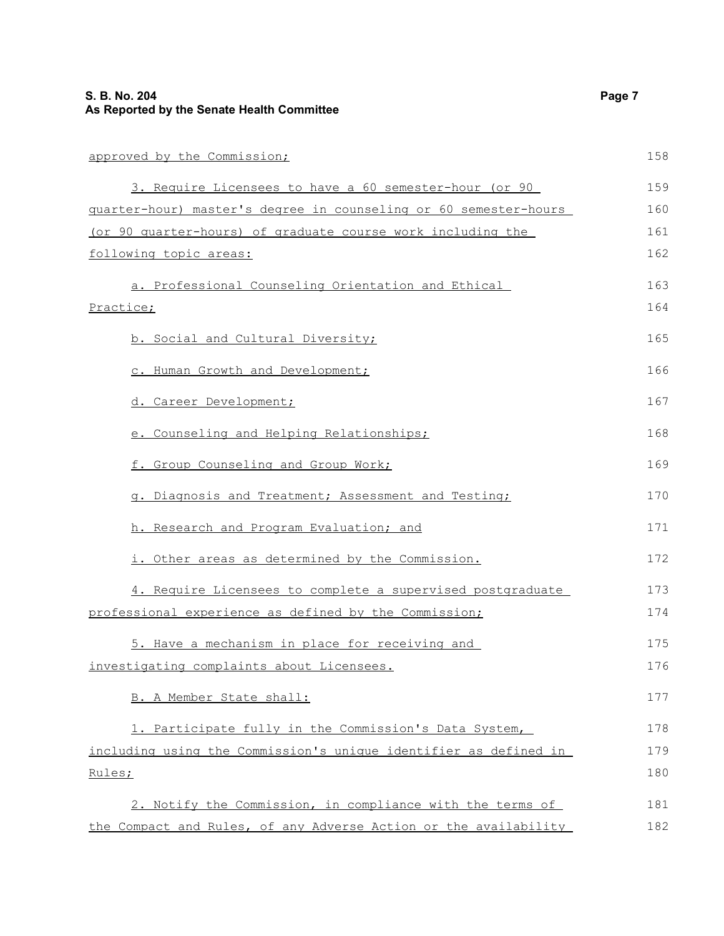| approved by the Commission;                                      | 158 |
|------------------------------------------------------------------|-----|
| 3. Require Licensees to have a 60 semester-hour (or 90           | 159 |
| guarter-hour) master's degree in counseling or 60 semester-hours | 160 |
| (or 90 quarter-hours) of graduate course work including the      | 161 |
| following topic areas:                                           | 162 |
| a. Professional Counseling Orientation and Ethical               | 163 |
| Practice;                                                        | 164 |
| b. Social and Cultural Diversity;                                | 165 |
| c. Human Growth and Development;                                 | 166 |
| d. Career Development;                                           | 167 |
| e. Counseling and Helping Relationships;                         | 168 |
| f. Group Counseling and Group Work;                              | 169 |
| g. Diagnosis and Treatment; Assessment and Testing;              | 170 |
| h. Research and Program Evaluation; and                          | 171 |
| i. Other areas as determined by the Commission.                  | 172 |
| 4. Require Licensees to complete a supervised postgraduate       | 173 |
| professional experience as defined by the Commission;            | 174 |
| 5. Have a mechanism in place for receiving and                   | 175 |
| investigating complaints about Licensees.                        | 176 |
| B. A Member State shall:                                         | 177 |
| 1. Participate fully in the Commission's Data System,            | 178 |
| including using the Commission's unique identifier as defined in | 179 |
| Rules;                                                           | 180 |
| 2. Notify the Commission, in compliance with the terms of        | 181 |
| the Compact and Rules, of any Adverse Action or the availability | 182 |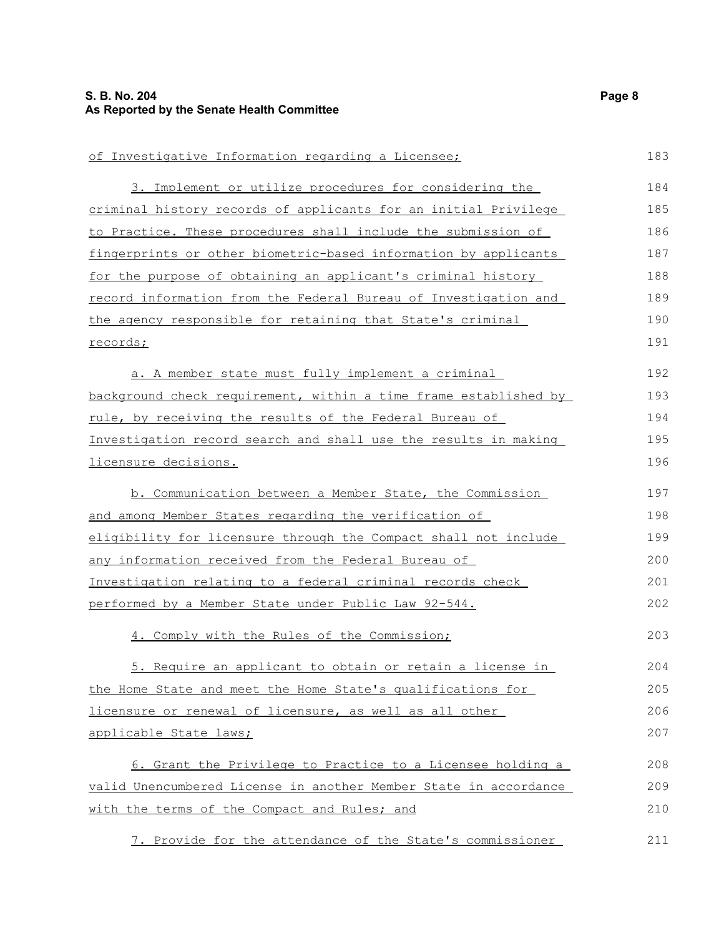| of Investigative Information regarding a Licensee;               | 183 |
|------------------------------------------------------------------|-----|
| 3. Implement or utilize procedures for considering the           | 184 |
| criminal history records of applicants for an initial Privilege  | 185 |
| to Practice. These procedures shall include the submission of    | 186 |
| fingerprints or other biometric-based information by applicants  | 187 |
| for the purpose of obtaining an applicant's criminal history     | 188 |
| record information from the Federal Bureau of Investigation and  | 189 |
| the agency responsible for retaining that State's criminal       | 190 |
| records;                                                         | 191 |
| a. A member state must fully implement a criminal                | 192 |
| background check requirement, within a time frame established by | 193 |
| rule, by receiving the results of the Federal Bureau of          | 194 |
| Investigation record search and shall use the results in making  | 195 |
| licensure decisions.                                             | 196 |
| b. Communication between a Member State, the Commission          | 197 |
| and among Member States regarding the verification of            | 198 |
| eligibility for licensure through the Compact shall not include  | 199 |
| <u>any information received from the Federal Bureau of</u>       | 200 |
| Investigation relating to a federal criminal records check       | 201 |
| performed by a Member State under Public Law 92-544.             | 202 |
| 4. Comply with the Rules of the Commission;                      | 203 |
| 5. Require an applicant to obtain or retain a license in         | 204 |
| the Home State and meet the Home State's qualifications for      | 205 |
| licensure or renewal of licensure, as well as all other          | 206 |
| applicable State laws;                                           | 207 |
| 6. Grant the Privilege to Practice to a Licensee holding a       | 208 |
| valid Unencumbered License in another Member State in accordance | 209 |
| with the terms of the Compact and Rules; and                     | 210 |
| 7. Provide for the attendance of the State's commissioner        | 211 |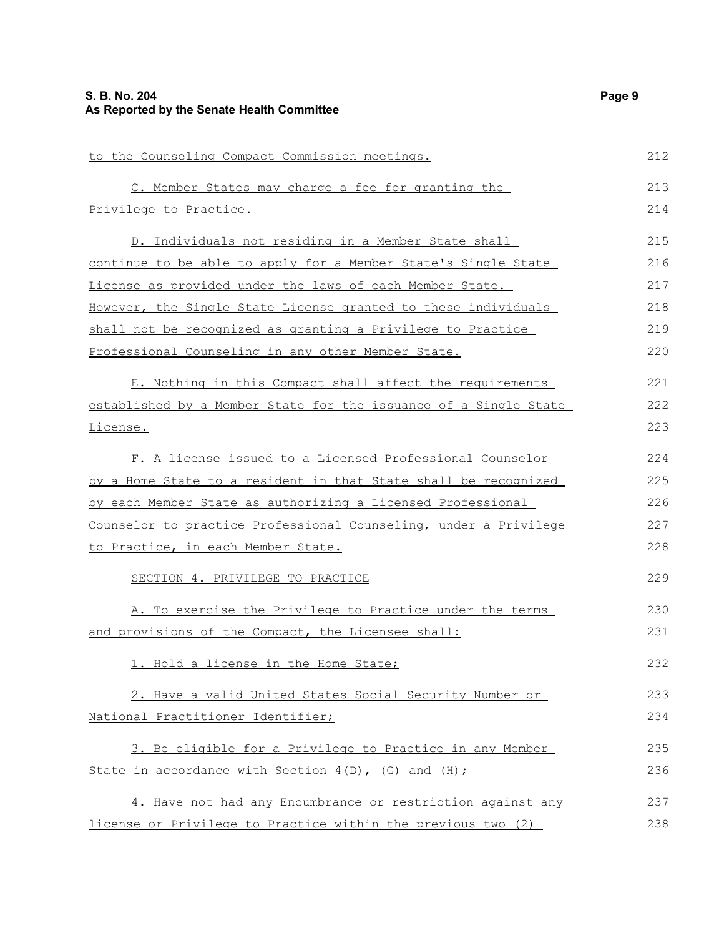| to the Counseling Compact Commission meetings.                         | 212 |
|------------------------------------------------------------------------|-----|
| C. Member States may charge a fee for granting the                     | 213 |
| <u>Privilege to Practice.</u>                                          | 214 |
| D. Individuals not residing in a Member State shall                    | 215 |
| continue to be able to apply for a Member State's Single State         | 216 |
| License as provided under the laws of each Member State.               | 217 |
| However, the Single State License granted to these individuals         | 218 |
| shall not be recognized as granting a Privilege to Practice            | 219 |
| Professional Counseling in any other Member State.                     | 220 |
| E. Nothing in this Compact shall affect the requirements               | 221 |
| established by a Member State for the issuance of a Single State       | 222 |
| License.                                                               | 223 |
| F. A license issued to a Licensed Professional Counselor               | 224 |
| <u>by a Home State to a resident in that State shall be recognized</u> | 225 |
| by each Member State as authorizing a Licensed Professional            | 226 |
| Counselor to practice Professional Counseling, under a Privilege       | 227 |
| to Practice, in each Member State.                                     | 228 |
| SECTION 4. PRIVILEGE TO PRACTICE                                       | 229 |
| A. To exercise the Privilege to Practice under the terms               | 230 |
| and provisions of the Compact, the Licensee shall:                     | 231 |
| 1. Hold a license in the Home State;                                   | 232 |
| 2. Have a valid United States Social Security Number or                | 233 |
| National Practitioner Identifier;                                      | 234 |
| 3. Be eligible for a Privilege to Practice in any Member               | 235 |
| State in accordance with Section 4(D), (G) and (H);                    | 236 |
| 4. Have not had any Encumbrance or restriction against any             | 237 |
| license or Privilege to Practice within the previous two (2)           | 238 |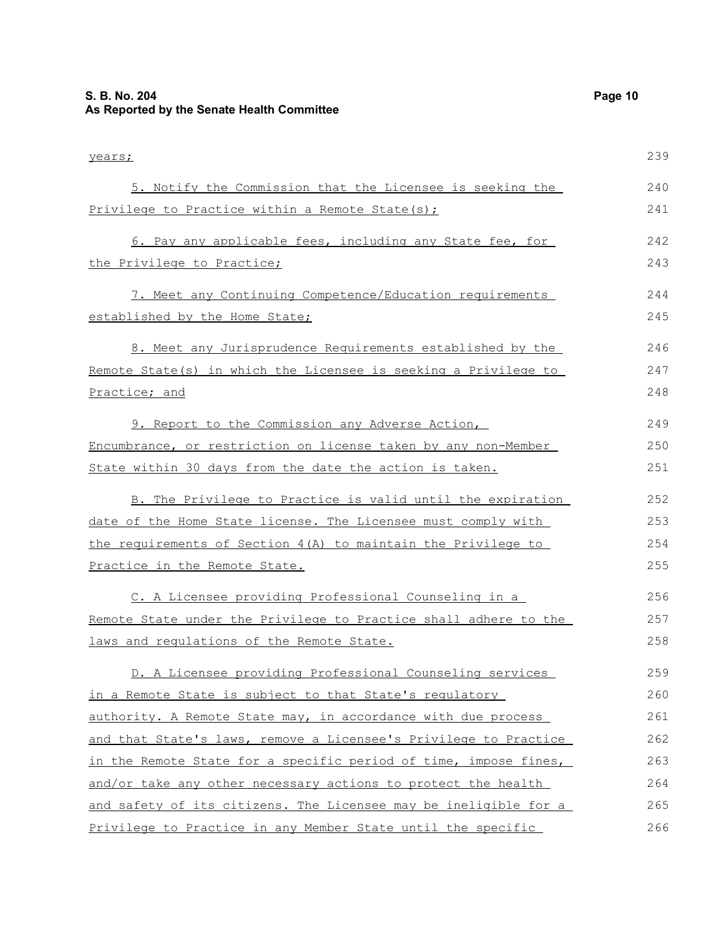years; 5. Notify the Commission that the Licensee is seeking the Privilege to Practice within a Remote State(s); 6. Pay any applicable fees, including any State fee, for the Privilege to Practice; 7. Meet any Continuing Competence/Education requirements established by the Home State; 8. Meet any Jurisprudence Requirements established by the Remote State(s) in which the Licensee is seeking a Privilege to Practice; and 9. Report to the Commission any Adverse Action, Encumbrance, or restriction on license taken by any non-Member State within 30 days from the date the action is taken. B. The Privilege to Practice is valid until the expiration date of the Home State license. The Licensee must comply with the requirements of Section 4(A) to maintain the Privilege to Practice in the Remote State. C. A Licensee providing Professional Counseling in a Remote State under the Privilege to Practice shall adhere to the laws and regulations of the Remote State. D. A Licensee providing Professional Counseling services in a Remote State is subject to that State's regulatory authority. A Remote State may, in accordance with due process and that State's laws, remove a Licensee's Privilege to Practice in the Remote State for a specific period of time, impose fines, and/or take any other necessary actions to protect the health and safety of its citizens. The Licensee may be ineligible for a 239 240 241 242 243 244 245 246 247 248 249 250 251 252 253 254 255 256 257 258 259 260 261 262 263 264 265

Privilege to Practice in any Member State until the specific

266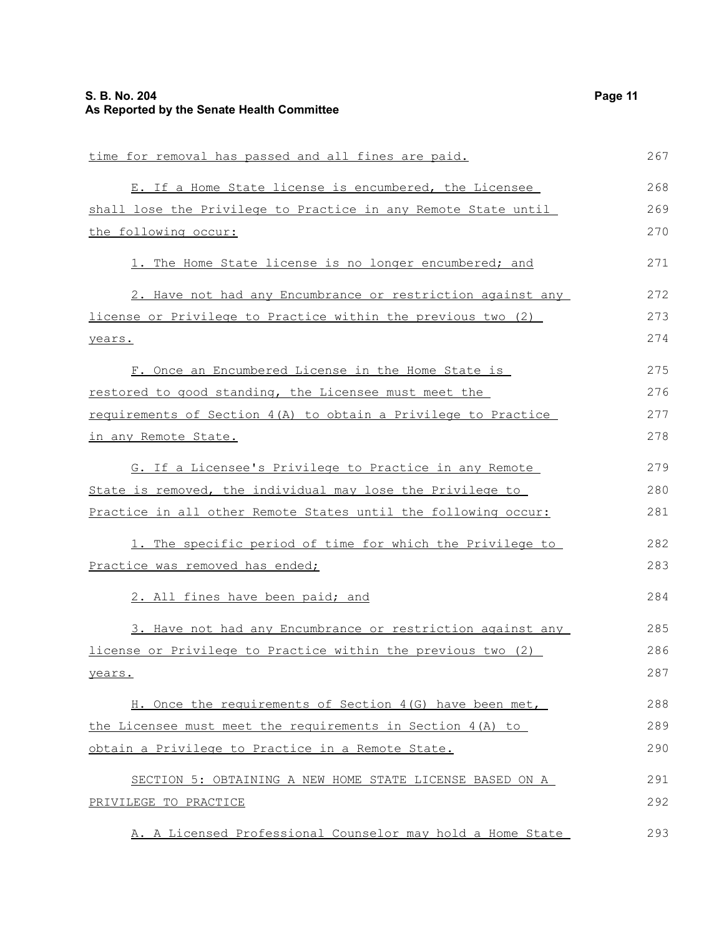| time for removal has passed and all fines are paid.            | 267 |
|----------------------------------------------------------------|-----|
| E. If a Home State license is encumbered, the Licensee         | 268 |
| shall lose the Privilege to Practice in any Remote State until | 269 |
| the following occur:                                           | 270 |
| 1. The Home State license is no longer encumbered; and         | 271 |
| 2. Have not had any Encumbrance or restriction against any     | 272 |
| license or Privilege to Practice within the previous two (2)   | 273 |
| years.                                                         | 274 |
| F. Once an Encumbered License in the Home State is             | 275 |
| restored to good standing, the Licensee must meet the          | 276 |
| requirements of Section 4(A) to obtain a Privilege to Practice | 277 |
| in any Remote State.                                           | 278 |
| G. If a Licensee's Privilege to Practice in any Remote         | 279 |
| State is removed, the individual may lose the Privilege to     | 280 |
| Practice in all other Remote States until the following occur: | 281 |
| 1. The specific period of time for which the Privilege to      | 282 |
| Practice was removed has ended;                                | 283 |
| 2. All fines have been paid; and                               | 284 |
| 3. Have not had any Encumbrance or restriction against any     | 285 |
| license or Privilege to Practice within the previous two (2)   | 286 |
| years.                                                         | 287 |
| H. Once the requirements of Section 4(G) have been met,        | 288 |
| the Licensee must meet the requirements in Section $4(A)$ to   | 289 |
| obtain a Privilege to Practice in a Remote State.              | 290 |
| SECTION 5: OBTAINING A NEW HOME STATE LICENSE BASED ON A       | 291 |
| PRIVILEGE TO PRACTICE                                          | 292 |
| A. A Licensed Professional Counselor may hold a Home State     | 293 |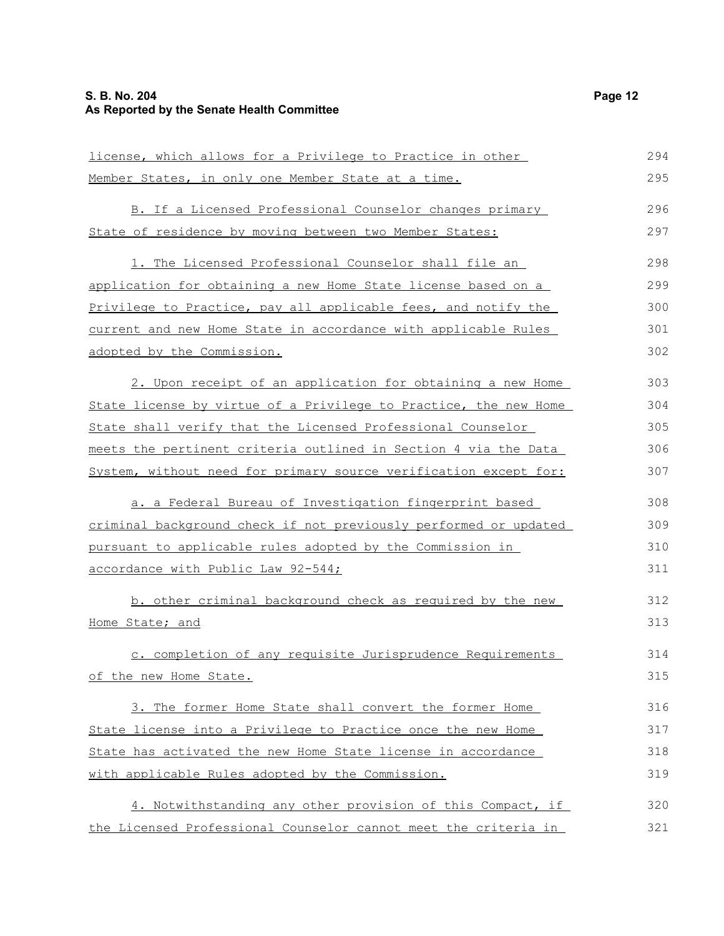| license, which allows for a Privilege to Practice in other       | 294 |
|------------------------------------------------------------------|-----|
| Member States, in only one Member State at a time.               | 295 |
| B. If a Licensed Professional Counselor changes primary          | 296 |
| State of residence by moving between two Member States:          | 297 |
| 1. The Licensed Professional Counselor shall file an             | 298 |
| application for obtaining a new Home State license based on a    | 299 |
| Privilege to Practice, pay all applicable fees, and notify the   | 300 |
| current and new Home State in accordance with applicable Rules   | 301 |
| adopted by the Commission.                                       | 302 |
|                                                                  |     |
| 2. Upon receipt of an application for obtaining a new Home       | 303 |
| State license by virtue of a Privilege to Practice, the new Home | 304 |
| State shall verify that the Licensed Professional Counselor      | 305 |
| meets the pertinent criteria outlined in Section 4 via the Data  | 306 |
| System, without need for primary source verification except for: | 307 |
| a. a Federal Bureau of Investigation fingerprint based           | 308 |
| criminal background check if not previously performed or updated | 309 |
| pursuant to applicable rules adopted by the Commission in        | 310 |
| <u>accordance with Public Law 92-544;</u>                        | 311 |
| b. other criminal background check as required by the new        | 312 |
| Home State; and                                                  | 313 |
| c. completion of any requisite Jurisprudence Requirements        | 314 |
| of the new Home State.                                           | 315 |
| 3. The former Home State shall convert the former Home           | 316 |
| State license into a Privilege to Practice once the new Home     | 317 |
| State has activated the new Home State license in accordance     | 318 |
| with applicable Rules adopted by the Commission.                 | 319 |
|                                                                  |     |
| 4. Notwithstanding any other provision of this Compact, if       | 320 |
| the Licensed Professional Counselor cannot meet the criteria in  | 321 |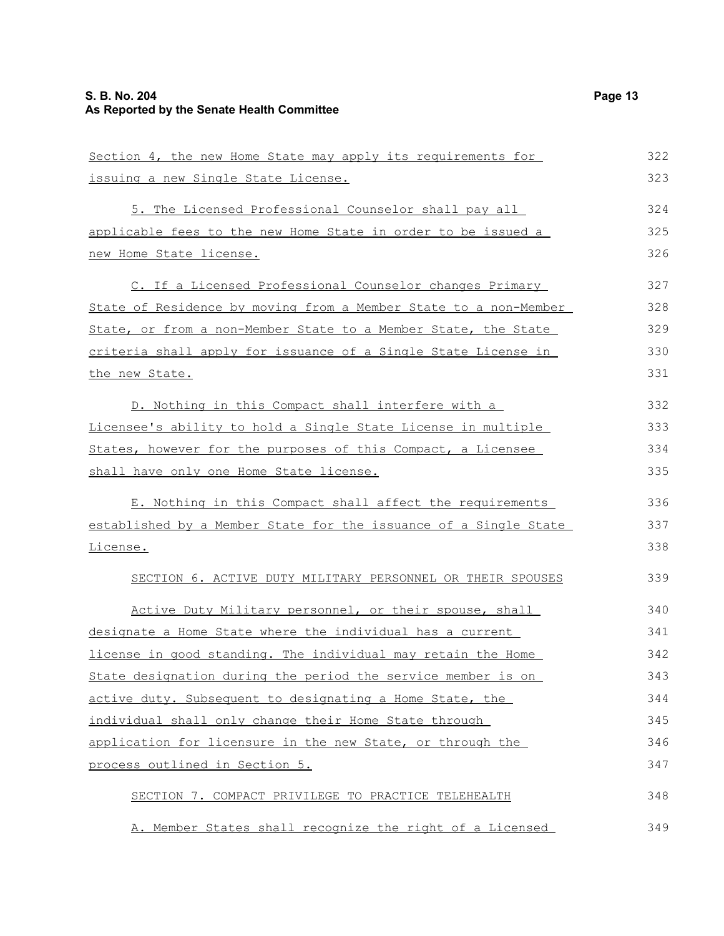| Section 4, the new Home State may apply its requirements for     | 322 |
|------------------------------------------------------------------|-----|
| issuing a new Single State License.                              | 323 |
| 5. The Licensed Professional Counselor shall pay all             | 324 |
| applicable fees to the new Home State in order to be issued a    | 325 |
| new Home State license.                                          | 326 |
| C. If a Licensed Professional Counselor changes Primary          | 327 |
| State of Residence by moving from a Member State to a non-Member | 328 |
| State, or from a non-Member State to a Member State, the State   | 329 |
| criteria shall apply for issuance of a Single State License in   | 330 |
| the new State.                                                   | 331 |
| D. Nothing in this Compact shall interfere with a                | 332 |
| Licensee's ability to hold a Single State License in multiple    | 333 |
| States, however for the purposes of this Compact, a Licensee     | 334 |
| shall have only one Home State license.                          | 335 |
| E. Nothing in this Compact shall affect the requirements         | 336 |
| established by a Member State for the issuance of a Single State | 337 |
| License.                                                         | 338 |
| SECTION 6. ACTIVE DUTY MILITARY PERSONNEL OR THEIR SPOUSES       | 339 |
| Active Duty Military personnel, or their spouse, shall           | 340 |
| designate a Home State where the individual has a current        | 341 |
| license in good standing. The individual may retain the Home     | 342 |
| State designation during the period the service member is on     | 343 |
| active duty. Subsequent to designating a Home State, the         | 344 |
| individual shall only change their Home State through            | 345 |
| application for licensure in the new State, or through the       | 346 |
| process outlined in Section 5.                                   | 347 |
| SECTION 7. COMPACT PRIVILEGE TO PRACTICE TELEHEALTH              | 348 |
| A. Member States shall recognize the right of a Licensed         | 349 |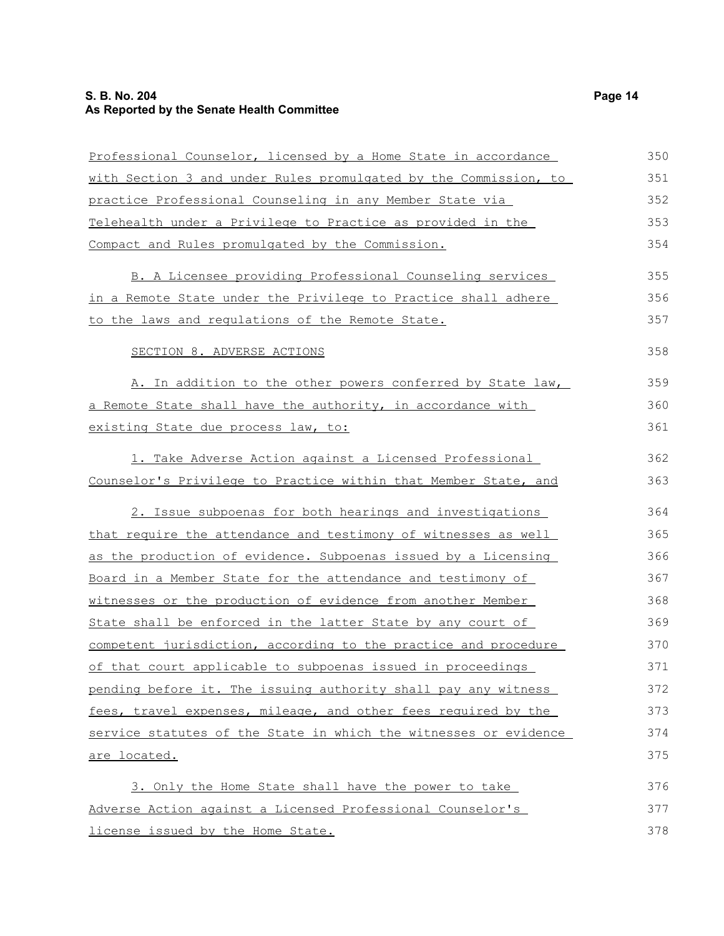#### **S. B. No. 204 Page 14 As Reported by the Senate Health Committee**

| Professional Counselor, licensed by a Home State in accordance        | 350 |
|-----------------------------------------------------------------------|-----|
| with Section 3 and under Rules promulgated by the Commission, to      | 351 |
| practice Professional Counseling in any Member State via              | 352 |
| Telehealth under a Privilege to Practice as provided in the           | 353 |
| Compact and Rules promulgated by the Commission.                      | 354 |
| B. A Licensee providing Professional Counseling services              | 355 |
| in a Remote State under the Privilege to Practice shall adhere        | 356 |
| to the laws and regulations of the Remote State.                      | 357 |
| SECTION 8. ADVERSE ACTIONS                                            | 358 |
| A. In addition to the other powers conferred by State law,            | 359 |
| a Remote State shall have the authority, in accordance with           | 360 |
| existing State due process law, to:                                   | 361 |
| 1. Take Adverse Action against a Licensed Professional                | 362 |
| Counselor's Privilege to Practice within that Member State, and       | 363 |
| 2. Issue subpoenas for both hearings and investigations               | 364 |
| <u>that require the attendance and testimony of witnesses as well</u> | 365 |
| as the production of evidence. Subpoenas issued by a Licensing        | 366 |
| Board in a Member State for the attendance and testimony of           | 367 |
| witnesses or the production of evidence from another Member           | 368 |
| State shall be enforced in the latter State by any court of           | 369 |
| competent jurisdiction, according to the practice and procedure       | 370 |
| of that court applicable to subpoenas issued in proceedings           | 371 |
| pending before it. The issuing authority shall pay any witness        | 372 |
| fees, travel expenses, mileage, and other fees required by the        | 373 |
| service statutes of the State in which the witnesses or evidence      | 374 |
| are located.                                                          | 375 |
| 3. Only the Home State shall have the power to take                   | 376 |
| Adverse Action against a Licensed Professional Counselor's            | 377 |
| license issued by the Home State.                                     | 378 |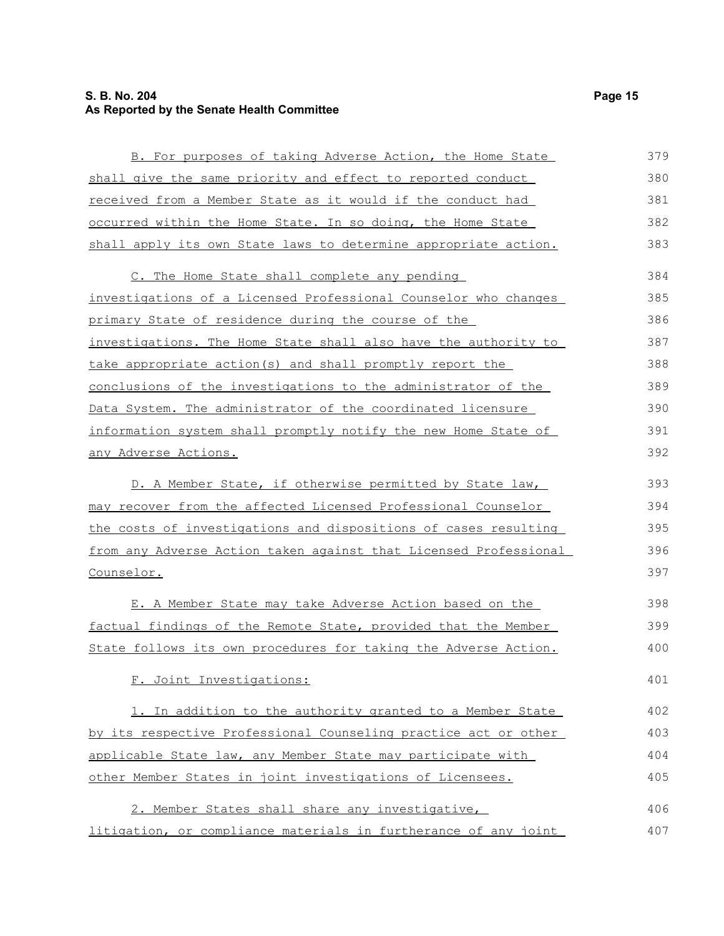#### **S. B. No. 204 Page 15 As Reported by the Senate Health Committee**

| B. For purposes of taking Adverse Action, the Home State         | 379 |
|------------------------------------------------------------------|-----|
| shall give the same priority and effect to reported conduct      | 380 |
| received from a Member State as it would if the conduct had      | 381 |
| occurred within the Home State. In so doing, the Home State      | 382 |
| shall apply its own State laws to determine appropriate action.  | 383 |
| C. The Home State shall complete any pending                     | 384 |
| investigations of a Licensed Professional Counselor who changes  | 385 |
| primary State of residence during the course of the              | 386 |
| investigations. The Home State shall also have the authority to  | 387 |
| take appropriate action (s) and shall promptly report the        | 388 |
| conclusions of the investigations to the administrator of the    | 389 |
| Data System. The administrator of the coordinated licensure      | 390 |
| information system shall promptly notify the new Home State of   | 391 |
| any Adverse Actions.                                             | 392 |
| D. A Member State, if otherwise permitted by State law,          | 393 |
| may recover from the affected Licensed Professional Counselor    | 394 |
| the costs of investigations and dispositions of cases resulting  | 395 |
| from any Adverse Action taken against that Licensed Professional | 396 |
| Counselor.                                                       | 397 |
| E. A Member State may take Adverse Action based on the           | 398 |
| factual findings of the Remote State, provided that the Member   | 399 |
| State follows its own procedures for taking the Adverse Action.  | 400 |
| F. Joint Investigations:                                         | 401 |
| 1. In addition to the authority granted to a Member State        | 402 |
| by its respective Professional Counseling practice act or other  | 403 |
| applicable State law, any Member State may participate with      | 404 |
| other Member States in joint investigations of Licensees.        | 405 |
| 2. Member States shall share any investigative,                  | 406 |
| litigation, or compliance materials in furtherance of any joint  | 407 |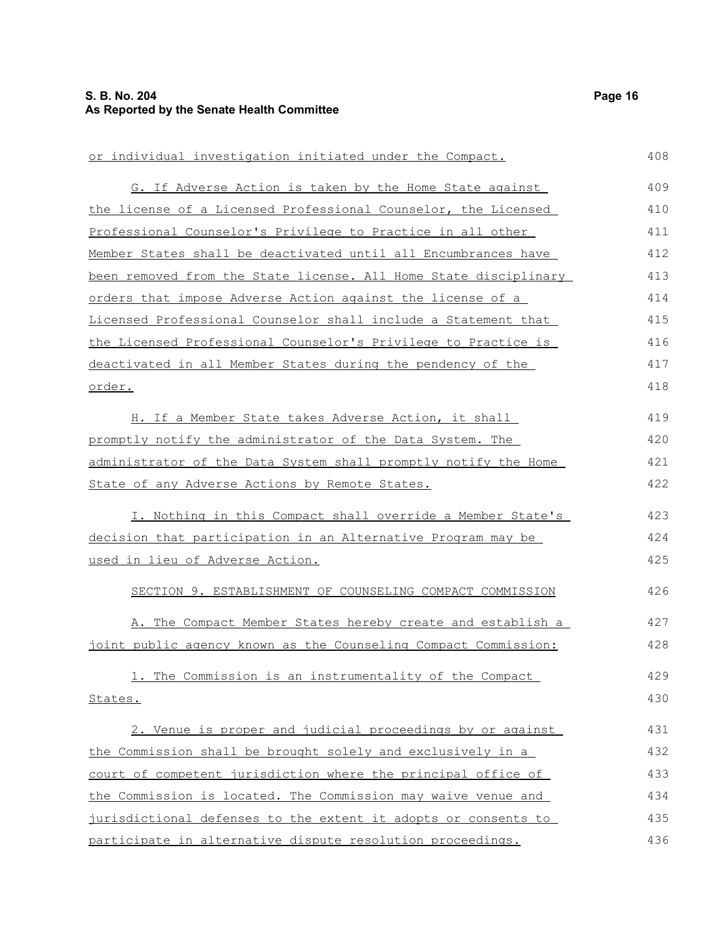| or individual investigation initiated under the Compact.         | 408 |
|------------------------------------------------------------------|-----|
| G. If Adverse Action is taken by the Home State against          | 409 |
| the license of a Licensed Professional Counselor, the Licensed   | 410 |
| Professional Counselor's Privilege to Practice in all other      | 411 |
| Member States shall be deactivated until all Encumbrances have   | 412 |
| been removed from the State license. All Home State disciplinary | 413 |
| orders that impose Adverse Action against the license of a       | 414 |
| Licensed Professional Counselor shall include a Statement that   | 415 |
| the Licensed Professional Counselor's Privilege to Practice is   | 416 |
| deactivated in all Member States during the pendency of the      | 417 |
| order.                                                           | 418 |
| H. If a Member State takes Adverse Action, it shall              | 419 |
| promptly notify the administrator of the Data System. The        | 420 |
| administrator of the Data System shall promptly notify the Home  | 421 |
| State of any Adverse Actions by Remote States.                   | 422 |
| I. Nothing in this Compact shall override a Member State's       | 423 |
| decision that participation in an Alternative Program may be     | 424 |
| used in lieu of Adverse Action.                                  | 425 |
| SECTION 9. ESTABLISHMENT OF COUNSELING COMPACT COMMISSION        | 426 |
| A. The Compact Member States hereby create and establish a       | 427 |
| joint public agency known as the Counseling Compact Commission:  | 428 |
| 1. The Commission is an instrumentality of the Compact           | 429 |
| States.                                                          | 430 |
| 2. Venue is proper and judicial proceedings by or against        | 431 |
| the Commission shall be brought solely and exclusively in a      | 432 |
| court of competent jurisdiction where the principal office of    | 433 |
| the Commission is located. The Commission may waive venue and    | 434 |
| jurisdictional defenses to the extent it adopts or consents to   | 435 |
| participate in alternative dispute resolution proceedings.       | 436 |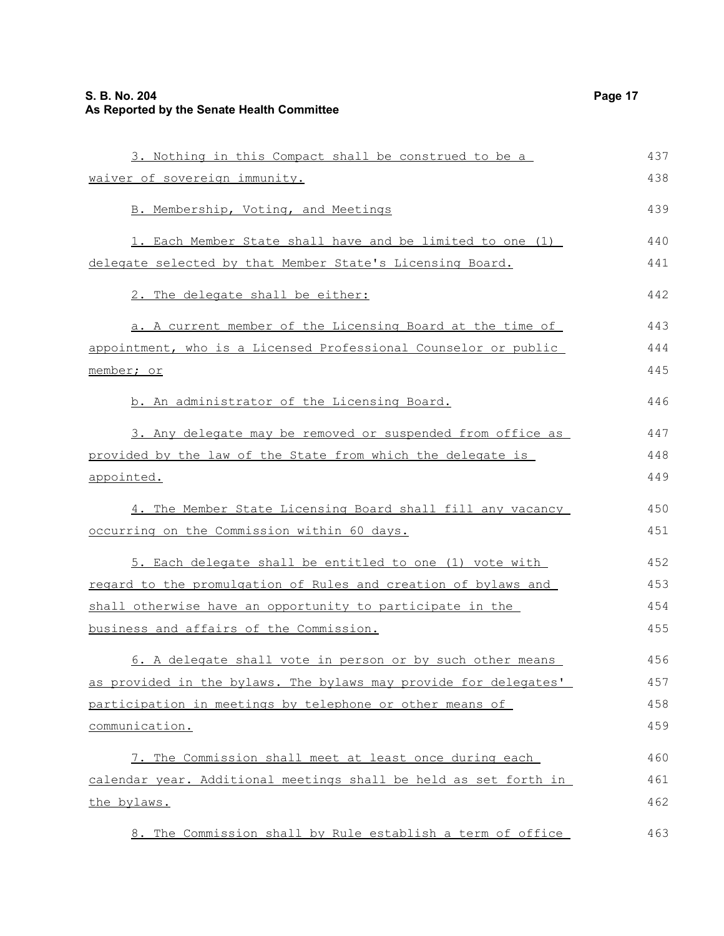| 3. Nothing in this Compact shall be construed to be a            | 437 |
|------------------------------------------------------------------|-----|
| waiver of sovereign immunity.                                    | 438 |
| B. Membership, Voting, and Meetings                              | 439 |
| 1. Each Member State shall have and be limited to one (1)        | 440 |
| delegate selected by that Member State's Licensing Board.        | 441 |
| 2. The delegate shall be either:                                 | 442 |
| a. A current member of the Licensing Board at the time of        | 443 |
| appointment, who is a Licensed Professional Counselor or public  | 444 |
| member; or                                                       | 445 |
| b. An administrator of the Licensing Board.                      | 446 |
| 3. Any delegate may be removed or suspended from office as       | 447 |
| provided by the law of the State from which the delegate is      | 448 |
| appointed.                                                       | 449 |
| 4. The Member State Licensing Board shall fill any vacancy       | 450 |
| occurring on the Commission within 60 days.                      | 451 |
| 5. Each delegate shall be entitled to one (1) vote with          | 452 |
| regard to the promulgation of Rules and creation of bylaws and   | 453 |
| shall otherwise have an opportunity to participate in the        | 454 |
| business and affairs of the Commission.                          | 455 |
| 6. A delegate shall vote in person or by such other means        | 456 |
| as provided in the bylaws. The bylaws may provide for delegates' | 457 |
| participation in meetings by telephone or other means of         | 458 |
| communication.                                                   | 459 |
| 7. The Commission shall meet at least once during each           | 460 |
| calendar year. Additional meetings shall be held as set forth in | 461 |
| the bylaws.                                                      | 462 |
| 8. The Commission shall by Rule establish a term of office       | 463 |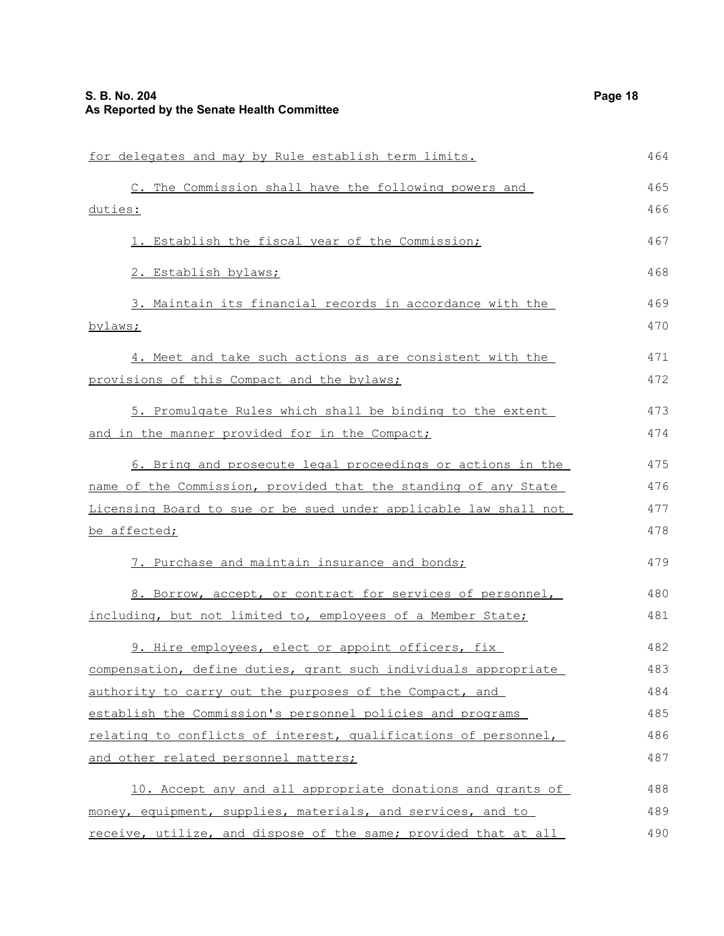| for delegates and may by Rule establish term limits.             | 464 |
|------------------------------------------------------------------|-----|
| C. The Commission shall have the following powers and            | 465 |
| duties:                                                          | 466 |
| 1. Establish the fiscal year of the Commission;                  | 467 |
| 2. Establish bylaws;                                             | 468 |
| 3. Maintain its financial records in accordance with the         | 469 |
| bylaws;                                                          | 470 |
| 4. Meet and take such actions as are consistent with the         | 471 |
| provisions of this Compact and the bylaws;                       | 472 |
| 5. Promulgate Rules which shall be binding to the extent         | 473 |
| and in the manner provided for in the Compact;                   | 474 |
| 6. Bring and prosecute legal proceedings or actions in the       | 475 |
| name of the Commission, provided that the standing of any State  | 476 |
|                                                                  |     |
| Licensing Board to sue or be sued under applicable law shall not | 477 |
| be affected;                                                     | 478 |
| 7. Purchase and maintain insurance and bonds;                    | 479 |
| 8. Borrow, accept, or contract for services of personnel,        | 480 |
| including, but not limited to, employees of a Member State;      | 481 |
| 9. Hire employees, elect or appoint officers, fix                | 482 |
| compensation, define duties, grant such individuals appropriate  | 483 |
| authority to carry out the purposes of the Compact, and          | 484 |
| establish the Commission's personnel policies and programs       | 485 |
| relating to conflicts of interest, qualifications of personnel,  | 486 |
| and other related personnel matters;                             | 487 |
| 10. Accept any and all appropriate donations and grants of       | 488 |
| money, equipment, supplies, materials, and services, and to      | 489 |
| receive, utilize, and dispose of the same; provided that at all  | 490 |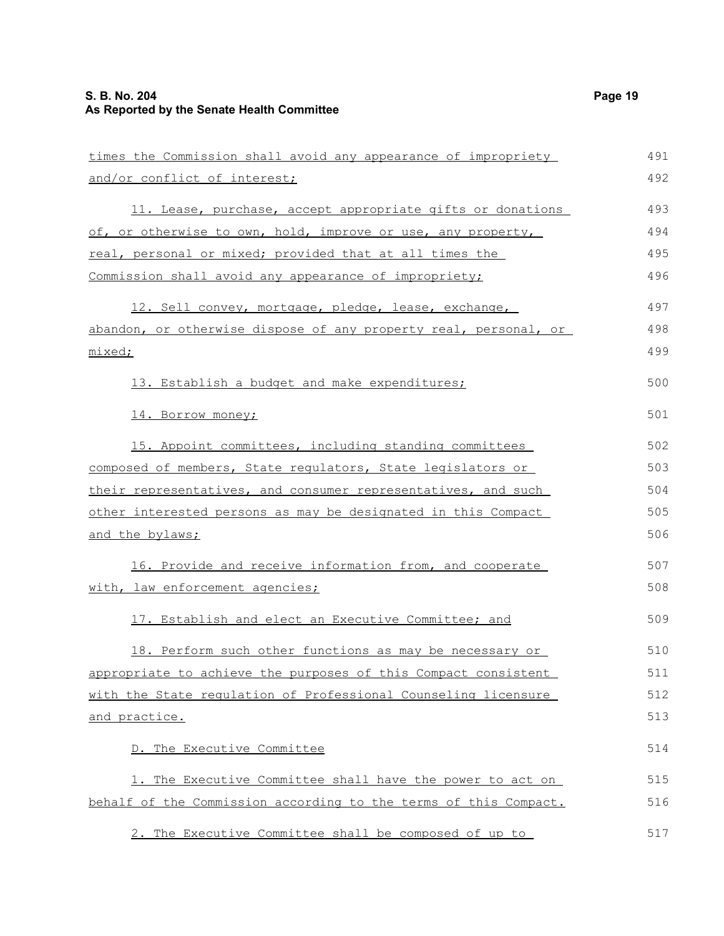| times the Commission shall avoid any appearance of impropriety   | 491 |
|------------------------------------------------------------------|-----|
| and/or conflict of interest;                                     | 492 |
| 11. Lease, purchase, accept appropriate gifts or donations       | 493 |
| of, or otherwise to own, hold, improve or use, any property,     | 494 |
| real, personal or mixed; provided that at all times the          | 495 |
| Commission shall avoid any appearance of impropriety;            | 496 |
| 12. Sell convey, mortgage, pledge, lease, exchange,              | 497 |
| abandon, or otherwise dispose of any property real, personal, or | 498 |
| mixed;                                                           | 499 |
| 13. Establish a budget and make expenditures;                    | 500 |
| 14. Borrow money;                                                | 501 |
| 15. Appoint committees, including standing committees            | 502 |
| composed of members, State requlators, State legislators or      | 503 |
| their representatives, and consumer representatives, and such    | 504 |
| other interested persons as may be designated in this Compact    | 505 |
| and the bylaws;                                                  | 506 |
| 16. Provide and receive information from, and cooperate          | 507 |
| with, law enforcement agencies;                                  | 508 |
| 17. Establish and elect an Executive Committee; and              | 509 |
| 18. Perform such other functions as may be necessary or          | 510 |
| appropriate to achieve the purposes of this Compact consistent   | 511 |
| with the State regulation of Professional Counseling licensure   | 512 |
| and practice.                                                    | 513 |
| D. The Executive Committee                                       | 514 |
| 1. The Executive Committee shall have the power to act on        | 515 |
| behalf of the Commission according to the terms of this Compact. | 516 |
| 2. The Executive Committee shall be composed of up to            | 517 |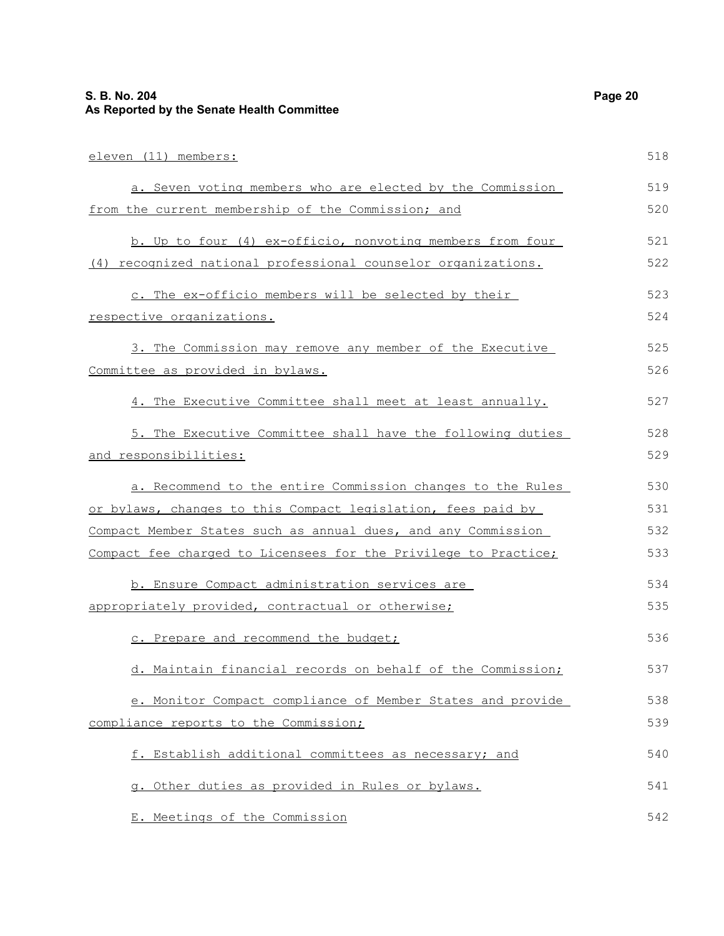| eleven (11) members:                                            | 518 |
|-----------------------------------------------------------------|-----|
| a. Seven voting members who are elected by the Commission       | 519 |
| from the current membership of the Commission; and              | 520 |
| b. Up to four (4) ex-officio, nonvoting members from four       | 521 |
| (4) recognized national professional counselor organizations.   | 522 |
| c. The ex-officio members will be selected by their             | 523 |
| respective organizations.                                       | 524 |
| 3. The Commission may remove any member of the Executive        | 525 |
| Committee as provided in bylaws.                                | 526 |
| 4. The Executive Committee shall meet at least annually.        | 527 |
| 5. The Executive Committee shall have the following duties      | 528 |
| and responsibilities:                                           | 529 |
| a. Recommend to the entire Commission changes to the Rules      | 530 |
| or bylaws, changes to this Compact legislation, fees paid by    | 531 |
| Compact Member States such as annual dues, and any Commission   | 532 |
| Compact fee charged to Licensees for the Privilege to Practice; | 533 |
| b. Ensure Compact administration services are                   | 534 |
| appropriately provided, contractual or otherwise;               | 535 |
| c. Prepare and recommend the budget;                            | 536 |
| d. Maintain financial records on behalf of the Commission;      | 537 |
| e. Monitor Compact compliance of Member States and provide      | 538 |
| compliance reports to the Commission;                           | 539 |
| f. Establish additional committees as necessary; and            | 540 |
| g. Other duties as provided in Rules or bylaws.                 | 541 |
| E. Meetings of the Commission                                   | 542 |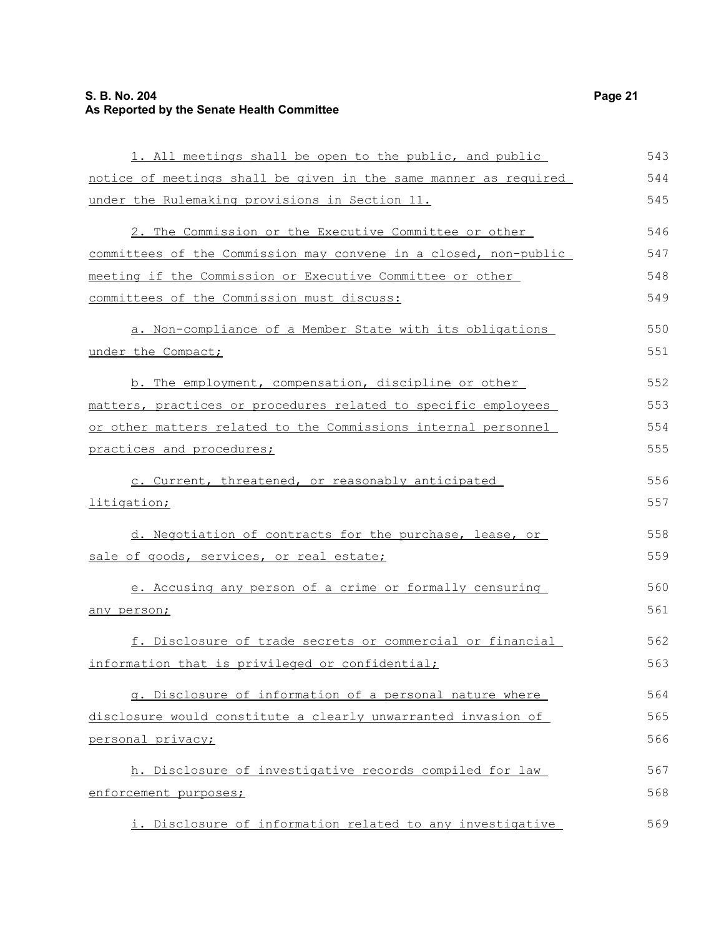#### **S. B. No. 204 Page 21 As Reported by the Senate Health Committee**

| 1. All meetings shall be open to the public, and public          | 543 |
|------------------------------------------------------------------|-----|
| notice of meetings shall be given in the same manner as required | 544 |
| under the Rulemaking provisions in Section 11.                   | 545 |
| 2. The Commission or the Executive Committee or other            | 546 |
| committees of the Commission may convene in a closed, non-public | 547 |
| meeting if the Commission or Executive Committee or other        | 548 |
| committees of the Commission must discuss:                       | 549 |
| a. Non-compliance of a Member State with its obligations         | 550 |
| under the Compact;                                               | 551 |
| b. The employment, compensation, discipline or other             | 552 |
| matters, practices or procedures related to specific employees   | 553 |
| or other matters related to the Commissions internal personnel   | 554 |
| practices and procedures;                                        | 555 |
| c. Current, threatened, or reasonably anticipated                | 556 |
| litigation;                                                      | 557 |
| d. Negotiation of contracts for the purchase, lease, or          | 558 |
| sale of goods, services, or real estate;                         | 559 |
| e. Accusing any person of a crime or formally censuring          | 560 |
| any person;                                                      | 561 |
| f. Disclosure of trade secrets or commercial or financial        | 562 |
| information that is privileged or confidential;                  | 563 |
| g. Disclosure of information of a personal nature where          | 564 |
| disclosure would constitute a clearly unwarranted invasion of    | 565 |
| personal privacy;                                                | 566 |
| h. Disclosure of investigative records compiled for law          | 567 |
| enforcement purposes;                                            | 568 |
| i. Disclosure of information related to any investigative        | 569 |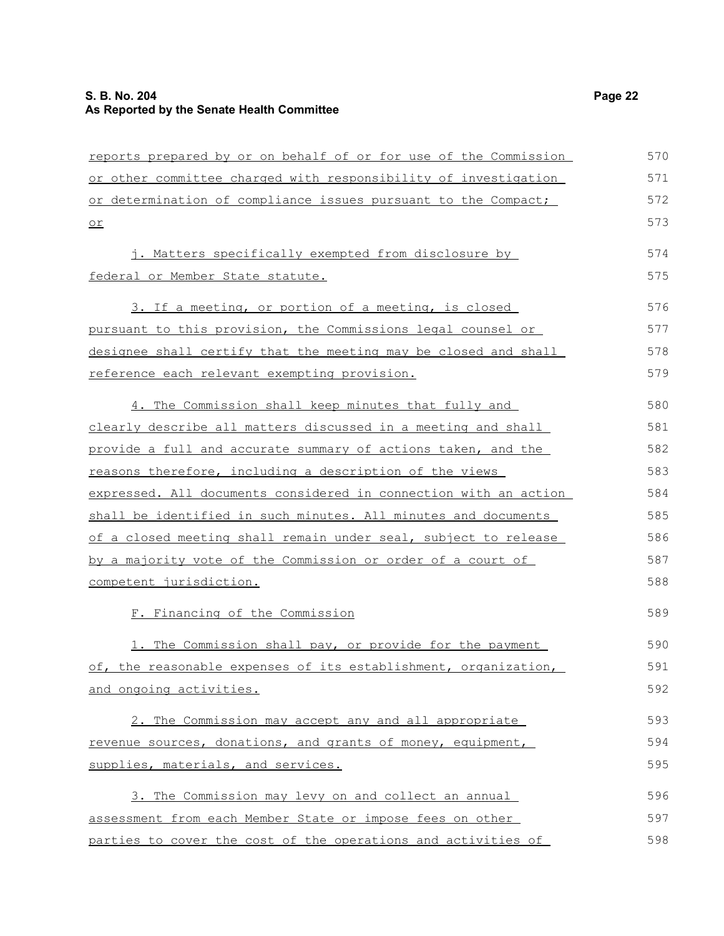#### **S. B. No. 204 Page 22 As Reported by the Senate Health Committee**

| reports prepared by or on behalf of or for use of the Commission | 570 |
|------------------------------------------------------------------|-----|
| or other committee charged with responsibility of investigation  | 571 |
| or determination of compliance issues pursuant to the Compact;   | 572 |
| $\underline{\circ r}$                                            | 573 |
| j. Matters specifically exempted from disclosure by              | 574 |
| federal or Member State statute.                                 | 575 |
| 3. If a meeting, or portion of a meeting, is closed              | 576 |
| pursuant to this provision, the Commissions legal counsel or     | 577 |
| designee shall certify that the meeting may be closed and shall  | 578 |
| reference each relevant exempting provision.                     | 579 |
| 4. The Commission shall keep minutes that fully and              | 580 |
| clearly describe all matters discussed in a meeting and shall    | 581 |
| provide a full and accurate summary of actions taken, and the    | 582 |
| reasons therefore, including a description of the views          | 583 |
| expressed. All documents considered in connection with an action | 584 |
| shall be identified in such minutes. All minutes and documents   | 585 |
| of a closed meeting shall remain under seal, subject to release  | 586 |
| by a majority vote of the Commission or order of a court of      | 587 |
| competent jurisdiction.                                          | 588 |
| F. Financing of the Commission                                   | 589 |
| 1. The Commission shall pay, or provide for the payment          | 590 |
| of, the reasonable expenses of its establishment, organization,  | 591 |
| and ongoing activities.                                          | 592 |
| 2. The Commission may accept any and all appropriate             | 593 |
| revenue sources, donations, and grants of money, equipment,      | 594 |
| supplies, materials, and services.                               | 595 |
| 3. The Commission may levy on and collect an annual              | 596 |
| assessment from each Member State or impose fees on other        | 597 |
| parties to cover the cost of the operations and activities of    | 598 |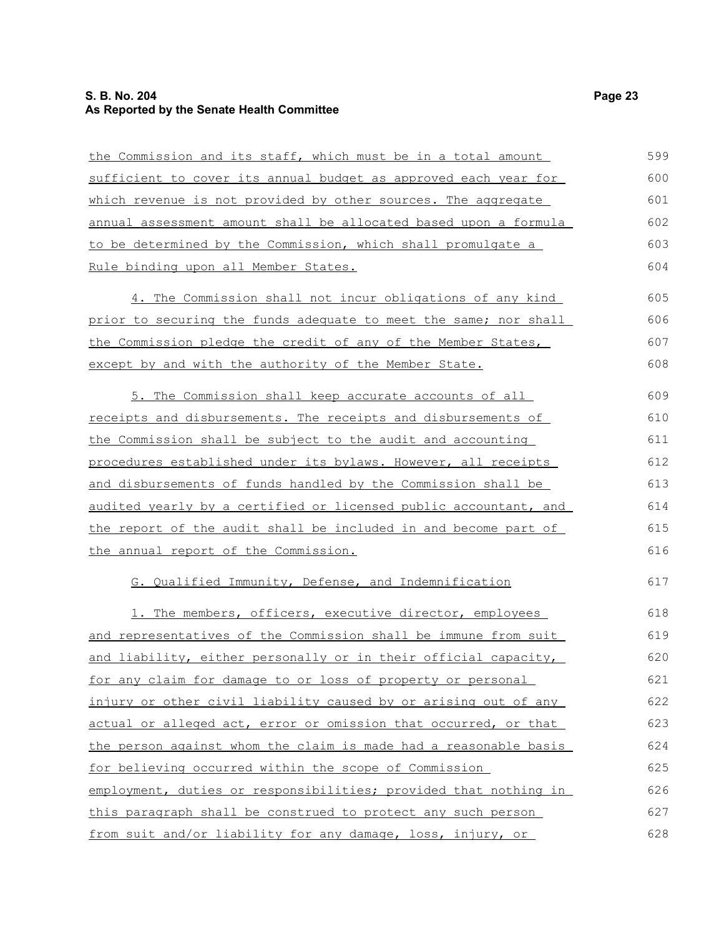#### **S. B. No. 204 Page 23 As Reported by the Senate Health Committee**

| the Commission and its staff, which must be in a total amount    | 599 |
|------------------------------------------------------------------|-----|
| sufficient to cover its annual budget as approved each year for  | 600 |
| which revenue is not provided by other sources. The aggregate    | 601 |
| annual assessment amount shall be allocated based upon a formula | 602 |
| to be determined by the Commission, which shall promulgate a     | 603 |
| Rule binding upon all Member States.                             | 604 |
| 4. The Commission shall not incur obligations of any kind        | 605 |
| prior to securing the funds adequate to meet the same; nor shall | 606 |
| the Commission pledge the credit of any of the Member States,    | 607 |
| except by and with the authority of the Member State.            | 608 |
| 5. The Commission shall keep accurate accounts of all            | 609 |
| receipts and disbursements. The receipts and disbursements of    | 610 |
| the Commission shall be subject to the audit and accounting      | 611 |
| procedures established under its bylaws. However, all receipts   | 612 |
| and disbursements of funds handled by the Commission shall be    | 613 |
| audited yearly by a certified or licensed public accountant, and | 614 |
| the report of the audit shall be included in and become part of  | 615 |
| the annual report of the Commission.                             | 616 |
| G. Qualified Immunity, Defense, and Indemnification              | 617 |
| 1. The members, officers, executive director, employees          | 618 |
| and representatives of the Commission shall be immune from suit  | 619 |
| and liability, either personally or in their official capacity,  | 620 |
| for any claim for damage to or loss of property or personal      | 621 |
| injury or other civil liability caused by or arising out of any  | 622 |
| actual or alleged act, error or omission that occurred, or that  | 623 |
| the person against whom the claim is made had a reasonable basis | 624 |
| for believing occurred within the scope of Commission            | 625 |
| employment, duties or responsibilities; provided that nothing in | 626 |
| this paragraph shall be construed to protect any such person     | 627 |
| from suit and/or liability for any damage, loss, injury, or      | 628 |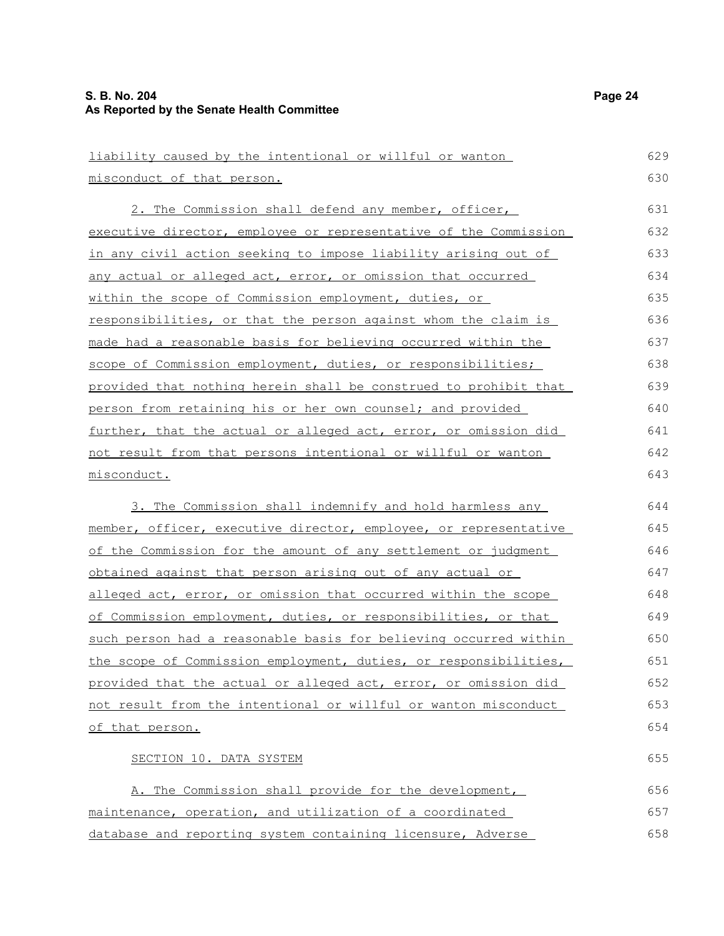| liability caused by the intentional or willful or wanton               | 629 |
|------------------------------------------------------------------------|-----|
| misconduct of that person.                                             | 630 |
| 2. The Commission shall defend any member, officer,                    | 631 |
| executive director, employee or representative of the Commission       | 632 |
| <u>in any civil action seeking to impose liability arising out of </u> | 633 |
| <u>any actual or alleged act, error, or omission that occurred </u>    | 634 |
| within the scope of Commission employment, duties, or                  | 635 |
| responsibilities, or that the person against whom the claim is         | 636 |
| made had a reasonable basis for believing occurred within the          | 637 |
| scope of Commission employment, duties, or responsibilities;           | 638 |
| provided that nothing herein shall be construed to prohibit that       | 639 |
| <u>person from retaining his or her own counsel; and provided</u>      | 640 |
| further, that the actual or alleged act, error, or omission did        | 641 |
| <u>not result from that persons intentional or willful or wanton </u>  | 642 |
| misconduct.                                                            | 643 |
| 3. The Commission shall indemnify and hold harmless any                | 644 |
| member, officer, executive director, employee, or representative       | 645 |
| of the Commission for the amount of any settlement or judgment         | 646 |
| <u>obtained against that person arising out of any actual or </u>      | 647 |
| alleged act, error, or omission that occurred within the scope         | 648 |
| of Commission employment, duties, or responsibilities, or that         | 649 |
| such person had a reasonable basis for believing occurred within       | 650 |
| the scope of Commission employment, duties, or responsibilities,       | 651 |
| provided that the actual or alleged act, error, or omission did        | 652 |
| not result from the intentional or willful or wanton misconduct        | 653 |
| of that person.                                                        | 654 |
| SECTION 10. DATA SYSTEM                                                | 655 |
| A. The Commission shall provide for the development,                   | 656 |
|                                                                        |     |

database and reporting system containing licensure, Adverse 658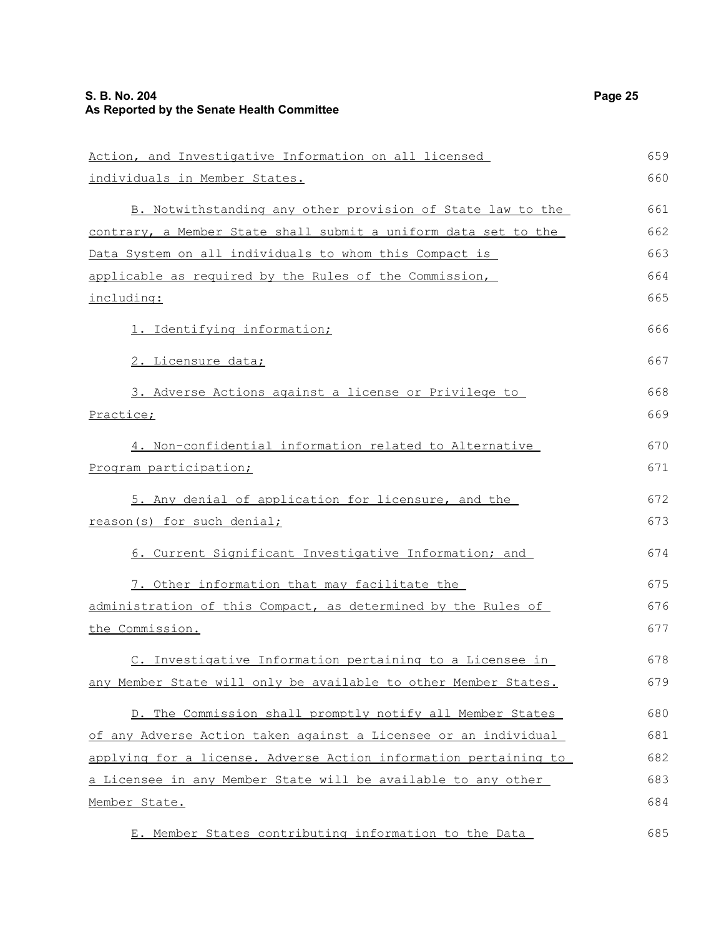| Action, and Investigative Information on all licensed            | 659 |
|------------------------------------------------------------------|-----|
| individuals in Member States.                                    | 660 |
| B. Notwithstanding any other provision of State law to the       | 661 |
| contrary, a Member State shall submit a uniform data set to the  | 662 |
| Data System on all individuals to whom this Compact is           | 663 |
| applicable as required by the Rules of the Commission,           | 664 |
| <u>including:</u>                                                | 665 |
| 1. Identifying information;                                      | 666 |
| 2. Licensure data;                                               | 667 |
| 3. Adverse Actions against a license or Privilege to             | 668 |
| Practice;                                                        | 669 |
| 4. Non-confidential information related to Alternative           | 670 |
| Program participation;                                           | 671 |
| 5. Any denial of application for licensure, and the              | 672 |
| reason(s) for such denial;                                       | 673 |
| 6. Current Significant Investigative Information; and            | 674 |
| 7. Other information that may facilitate the                     | 675 |
| administration of this Compact, as determined by the Rules of    | 676 |
| the Commission.                                                  | 677 |
| C. Investigative Information pertaining to a Licensee in         | 678 |
| any Member State will only be available to other Member States.  | 679 |
| D. The Commission shall promptly notify all Member States        | 680 |
| of any Adverse Action taken against a Licensee or an individual  | 681 |
| applying for a license. Adverse Action information pertaining to | 682 |
| a Licensee in any Member State will be available to any other    | 683 |
| Member State.                                                    | 684 |
| E. Member States contributing information to the Data            | 685 |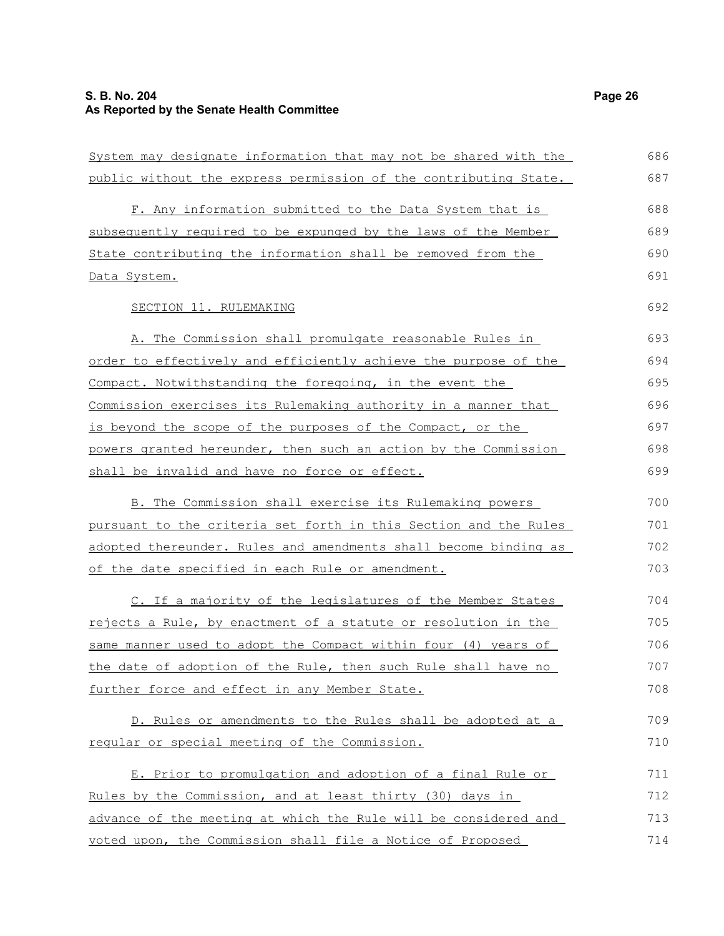| System may designate information that may not be shared with the | 686 |
|------------------------------------------------------------------|-----|
| public without the express permission of the contributing State. | 687 |
| F. Any information submitted to the Data System that is          | 688 |
| subsequently required to be expunged by the laws of the Member   | 689 |
| State contributing the information shall be removed from the     | 690 |
| Data System.                                                     | 691 |
| SECTION 11. RULEMAKING                                           | 692 |
| A. The Commission shall promulgate reasonable Rules in           | 693 |
| order to effectively and efficiently achieve the purpose of the  | 694 |
| Compact. Notwithstanding the foregoing, in the event the         | 695 |
| Commission exercises its Rulemaking authority in a manner that   | 696 |
| is beyond the scope of the purposes of the Compact, or the       | 697 |
| powers granted hereunder, then such an action by the Commission  | 698 |
| shall be invalid and have no force or effect.                    | 699 |
| B. The Commission shall exercise its Rulemaking powers           | 700 |
| pursuant to the criteria set forth in this Section and the Rules | 701 |
| adopted thereunder. Rules and amendments shall become binding as | 702 |
| of the date specified in each Rule or amendment.                 | 703 |
| C. If a majority of the legislatures of the Member States        | 704 |
| rejects a Rule, by enactment of a statute or resolution in the   | 705 |
| same manner used to adopt the Compact within four (4) years of   | 706 |
| the date of adoption of the Rule, then such Rule shall have no   | 707 |
| further force and effect in any Member State.                    | 708 |
| D. Rules or amendments to the Rules shall be adopted at a        | 709 |
| regular or special meeting of the Commission.                    | 710 |
| E. Prior to promulgation and adoption of a final Rule or         | 711 |
| Rules by the Commission, and at least thirty (30) days in        | 712 |
| advance of the meeting at which the Rule will be considered and  | 713 |
| voted upon, the Commission shall file a Notice of Proposed       | 714 |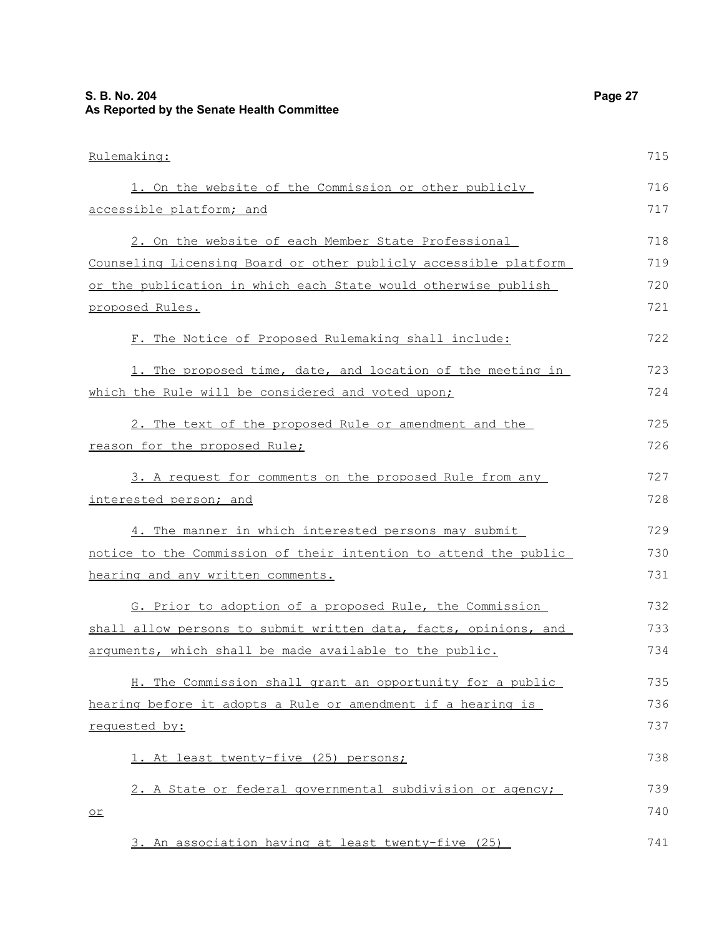Rulemaking: 1. On the website of the Commission or other publicly accessible platform; and 2. On the website of each Member State Professional Counseling Licensing Board or other publicly accessible platform or the publication in which each State would otherwise publish proposed Rules. F. The Notice of Proposed Rulemaking shall include: 1. The proposed time, date, and location of the meeting in which the Rule will be considered and voted upon; 2. The text of the proposed Rule or amendment and the reason for the proposed Rule; 3. A request for comments on the proposed Rule from any interested person; and 4. The manner in which interested persons may submit notice to the Commission of their intention to attend the public hearing and any written comments. G. Prior to adoption of a proposed Rule, the Commission shall allow persons to submit written data, facts, opinions, and arguments, which shall be made available to the public. H. The Commission shall grant an opportunity for a public hearing before it adopts a Rule or amendment if a hearing is requested by: 1. At least twenty-five (25) persons; 2. A State or federal governmental subdivision or agency; or 715 716 717 718 719 720 721 722 723 724 725 726 727 728 729 730 731 732 733 734 735 736 737 738 739 740

3. An association having at least twenty-five (25) 741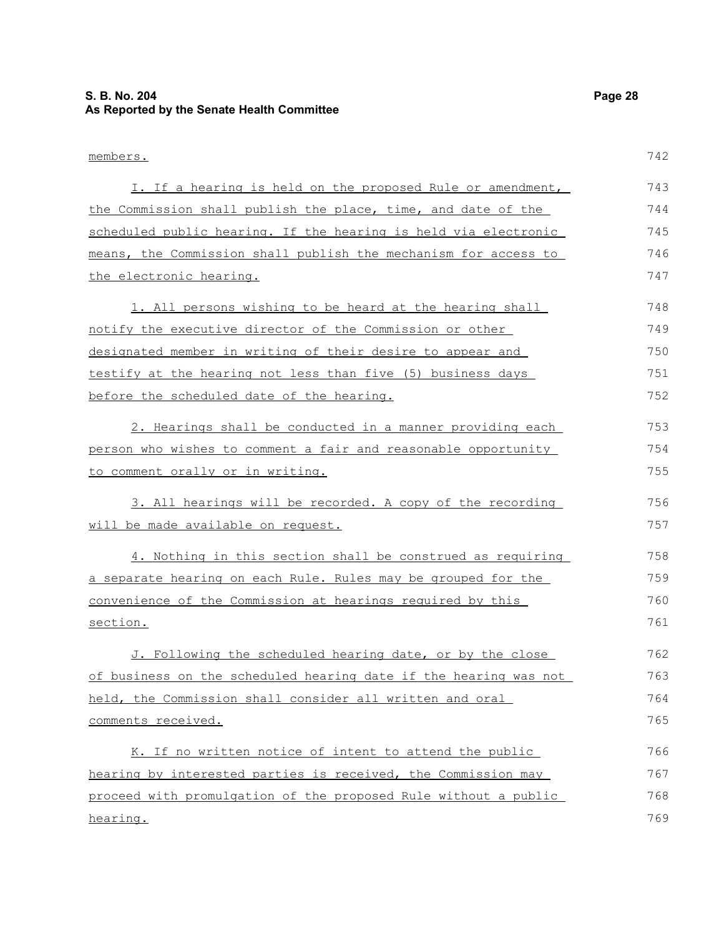#### **S. B. No. 204 Page 28 As Reported by the Senate Health Committee**

members. I. If a hearing is held on the proposed Rule or amendment, the Commission shall publish the place, time, and date of the scheduled public hearing. If the hearing is held via electronic means, the Commission shall publish the mechanism for access to the electronic hearing. 1. All persons wishing to be heard at the hearing shall notify the executive director of the Commission or other designated member in writing of their desire to appear and testify at the hearing not less than five (5) business days before the scheduled date of the hearing. 2. Hearings shall be conducted in a manner providing each person who wishes to comment a fair and reasonable opportunity to comment orally or in writing. 3. All hearings will be recorded. A copy of the recording will be made available on request. 4. Nothing in this section shall be construed as requiring a separate hearing on each Rule. Rules may be grouped for the convenience of the Commission at hearings required by this section. J. Following the scheduled hearing date, or by the close of business on the scheduled hearing date if the hearing was not held, the Commission shall consider all written and oral comments received. 742 743 744 745 746 747 748 749 750 751 752 753 754 755 756 757 758 759 760 761 762 763 764 765

K. If no written notice of intent to attend the public hearing by interested parties is received, the Commission may proceed with promulgation of the proposed Rule without a public hearing. 766 767 768 769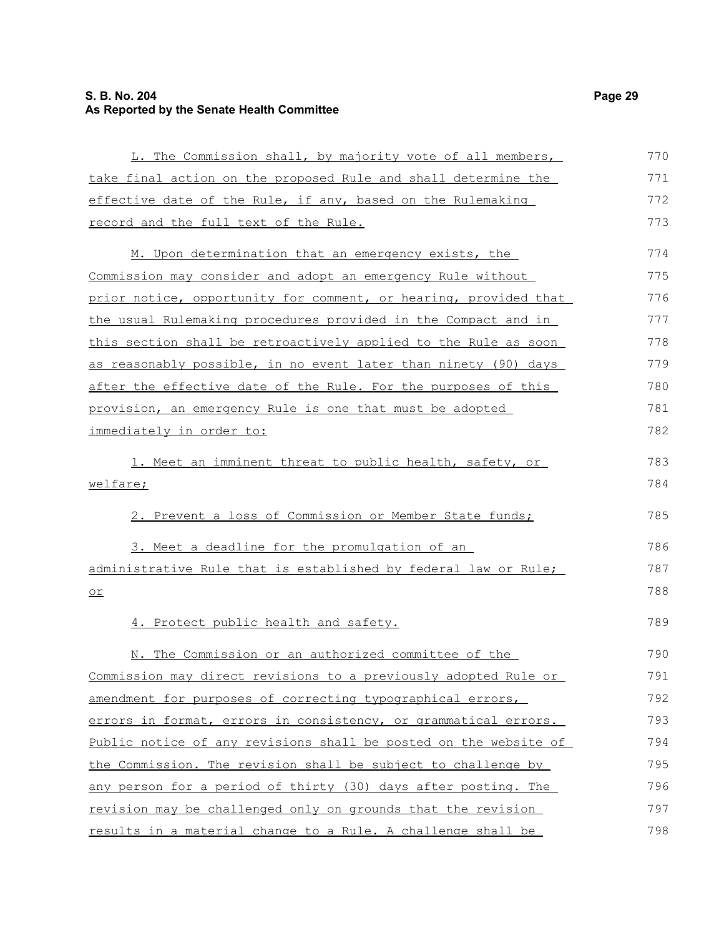#### **S. B. No. 204 Page 29 As Reported by the Senate Health Committee**

| L. The Commission shall, by majority vote of all members,        | 770 |
|------------------------------------------------------------------|-----|
| take final action on the proposed Rule and shall determine the   | 771 |
| effective date of the Rule, if any, based on the Rulemaking      | 772 |
| record and the full text of the Rule.                            | 773 |
| M. Upon determination that an emergency exists, the              | 774 |
| Commission may consider and adopt an emergency Rule without      | 775 |
| prior notice, opportunity for comment, or hearing, provided that | 776 |
| the usual Rulemaking procedures provided in the Compact and in   | 777 |
| this section shall be retroactively applied to the Rule as soon  | 778 |
| as reasonably possible, in no event later than ninety (90) days  | 779 |
| after the effective date of the Rule. For the purposes of this   | 780 |
| provision, an emergency Rule is one that must be adopted         | 781 |
| immediately in order to:                                         | 782 |
| 1. Meet an imminent threat to public health, safety, or          | 783 |
| welfare;                                                         | 784 |
| 2. Prevent a loss of Commission or Member State funds;           | 785 |
| 3. Meet a deadline for the promulgation of an                    | 786 |
| administrative Rule that is established by federal law or Rule;  | 787 |
| $\underline{\circ r}$                                            | 788 |
| 4. Protect public health and safety.                             | 789 |
| N. The Commission or an authorized committee of the              | 790 |
| Commission may direct revisions to a previously adopted Rule or  | 791 |
| amendment for purposes of correcting typographical errors,       | 792 |
| errors in format, errors in consistency, or grammatical errors.  | 793 |
| Public notice of any revisions shall be posted on the website of | 794 |
| the Commission. The revision shall be subject to challenge by    | 795 |
| any person for a period of thirty (30) days after posting. The   | 796 |
| revision may be challenged only on grounds that the revision     | 797 |
| results in a material change to a Rule. A challenge shall be     | 798 |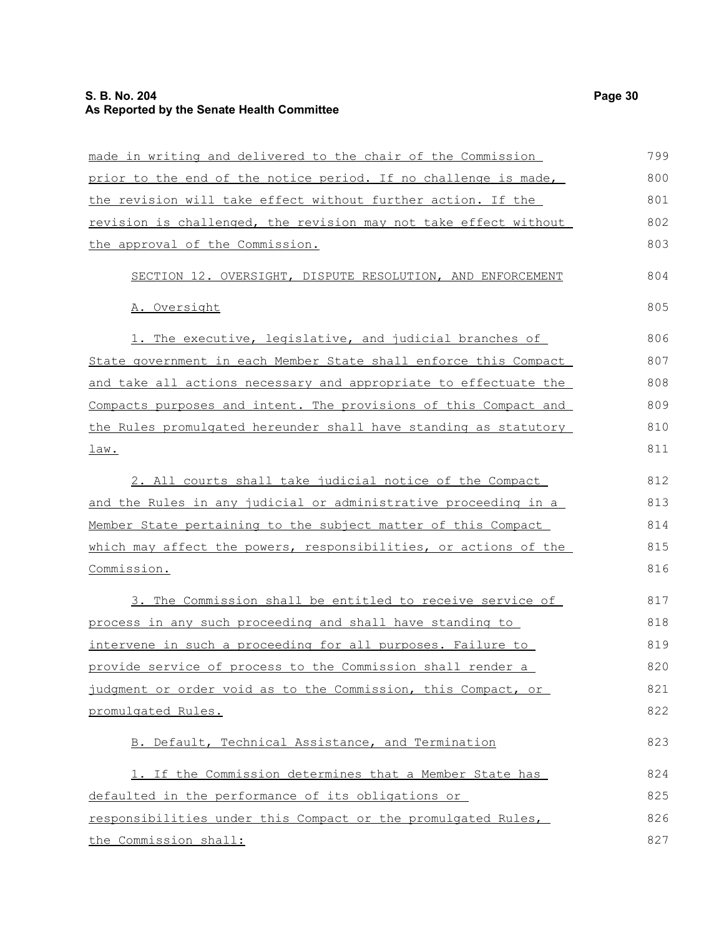#### **S. B. No. 204 Page 30 As Reported by the Senate Health Committee**

| made in writing and delivered to the chair of the Commission     | 799 |
|------------------------------------------------------------------|-----|
| prior to the end of the notice period. If no challenge is made,  | 800 |
| the revision will take effect without further action. If the     | 801 |
| revision is challenged, the revision may not take effect without | 802 |
| the approval of the Commission.                                  | 803 |
| SECTION 12. OVERSIGHT, DISPUTE RESOLUTION, AND ENFORCEMENT       | 804 |
| A. Oversight                                                     | 805 |
| 1. The executive, legislative, and judicial branches of          | 806 |
| State government in each Member State shall enforce this Compact | 807 |
| and take all actions necessary and appropriate to effectuate the | 808 |
| Compacts purposes and intent. The provisions of this Compact and | 809 |
| the Rules promulgated hereunder shall have standing as statutory | 810 |
| <u>law.</u>                                                      | 811 |
| 2. All courts shall take judicial notice of the Compact          | 812 |
| and the Rules in any judicial or administrative proceeding in a  | 813 |
| Member State pertaining to the subject matter of this Compact    | 814 |
| which may affect the powers, responsibilities, or actions of the | 815 |
| Commission.                                                      | 816 |
| 3. The Commission shall be entitled to receive service of        | 817 |
| process in any such proceeding and shall have standing to        | 818 |
| intervene in such a proceeding for all purposes. Failure to      | 819 |
| provide service of process to the Commission shall render a      | 820 |
| judgment or order void as to the Commission, this Compact, or    | 821 |
| promulgated Rules.                                               | 822 |
| B. Default, Technical Assistance, and Termination                | 823 |
| 1. If the Commission determines that a Member State has          | 824 |
| defaulted in the performance of its obligations or               | 825 |
| responsibilities under this Compact or the promulgated Rules,    | 826 |
| the Commission shall:                                            | 827 |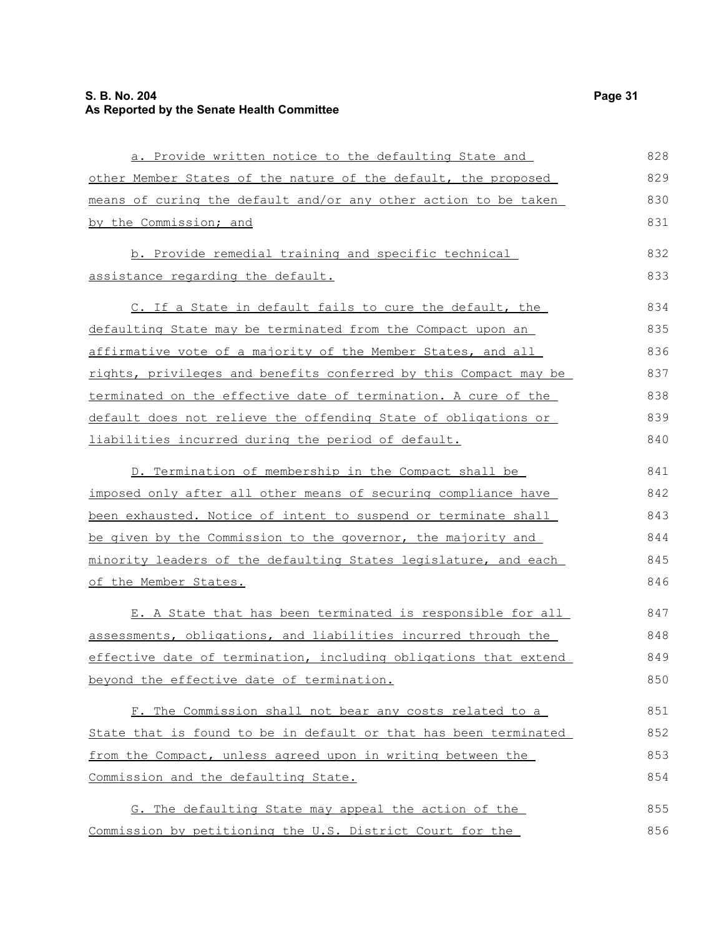| a. Provide written notice to the defaulting State and            | 828 |
|------------------------------------------------------------------|-----|
| other Member States of the nature of the default, the proposed   | 829 |
| means of curing the default and/or any other action to be taken  | 830 |
| by the Commission; and                                           | 831 |
| b. Provide remedial training and specific technical              | 832 |
| assistance regarding the default.                                | 833 |
| C. If a State in default fails to cure the default, the          | 834 |
| defaulting State may be terminated from the Compact upon an      | 835 |
| affirmative vote of a majority of the Member States, and all     | 836 |
| rights, privileges and benefits conferred by this Compact may be | 837 |
| terminated on the effective date of termination. A cure of the   | 838 |
| default does not relieve the offending State of obligations or   | 839 |
| liabilities incurred during the period of default.               | 840 |
| D. Termination of membership in the Compact shall be             | 841 |
| imposed only after all other means of securing compliance have   | 842 |
| been exhausted. Notice of intent to suspend or terminate shall   | 843 |
| be given by the Commission to the governor, the majority and     | 844 |
| minority leaders of the defaulting States legislature, and each  | 845 |
| of the Member States.                                            | 846 |
| E. A State that has been terminated is responsible for all       | 847 |
| assessments, obligations, and liabilities incurred through the   | 848 |
| effective date of termination, including obligations that extend | 849 |
| beyond the effective date of termination.                        | 850 |
| F. The Commission shall not bear any costs related to a          | 851 |
| State that is found to be in default or that has been terminated | 852 |
| from the Compact, unless agreed upon in writing between the      | 853 |
| Commission and the defaulting State.                             | 854 |
| G. The defaulting State may appeal the action of the             | 855 |
| Commission by petitioning the U.S. District Court for the        | 856 |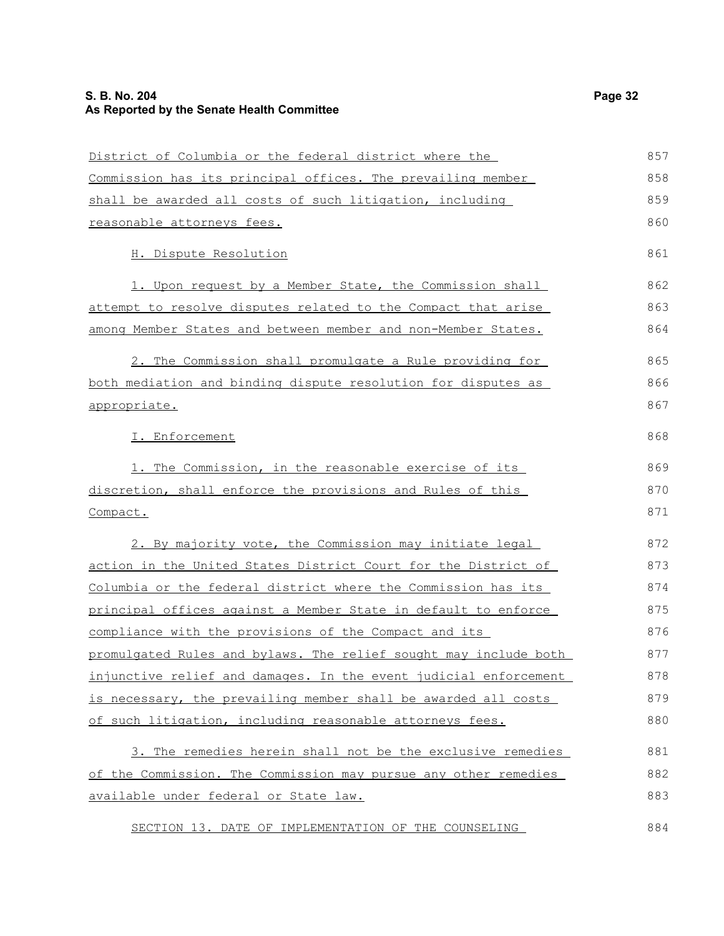| District of Columbia or the federal district where the                | 857 |
|-----------------------------------------------------------------------|-----|
| Commission has its principal offices. The prevailing member           | 858 |
| shall be awarded all costs of such litigation, including              | 859 |
| reasonable attorneys fees.                                            | 860 |
| H. Dispute Resolution                                                 | 861 |
| 1. Upon request by a Member State, the Commission shall               | 862 |
| attempt to resolve disputes related to the Compact that arise         | 863 |
| among Member States and between member and non-Member States.         | 864 |
| 2. The Commission shall promulgate a Rule providing for               | 865 |
| both mediation and binding dispute resolution for disputes as         | 866 |
| appropriate.                                                          | 867 |
| I. Enforcement                                                        | 868 |
| 1. The Commission, in the reasonable exercise of its                  | 869 |
| discretion, shall enforce the provisions and Rules of this            | 870 |
| Compact.                                                              | 871 |
| 2. By majority vote, the Commission may initiate legal                | 872 |
| <u>action in the United States District Court for the District of</u> | 873 |
| Columbia or the federal district where the Commission has its         | 874 |
| principal offices against a Member State in default to enforce        | 875 |
| compliance with the provisions of the Compact and its                 | 876 |
| promulgated Rules and bylaws. The relief sought may include both      | 877 |
| injunctive relief and damages. In the event judicial enforcement      | 878 |
| is necessary, the prevailing member shall be awarded all costs        | 879 |
| of such litigation, including reasonable attorneys fees.              | 880 |
| 3. The remedies herein shall not be the exclusive remedies            | 881 |
| of the Commission. The Commission may pursue any other remedies       | 882 |
| available under federal or State law.                                 | 883 |
| SECTION 13. DATE OF IMPLEMENTATION OF THE COUNSELING                  | 884 |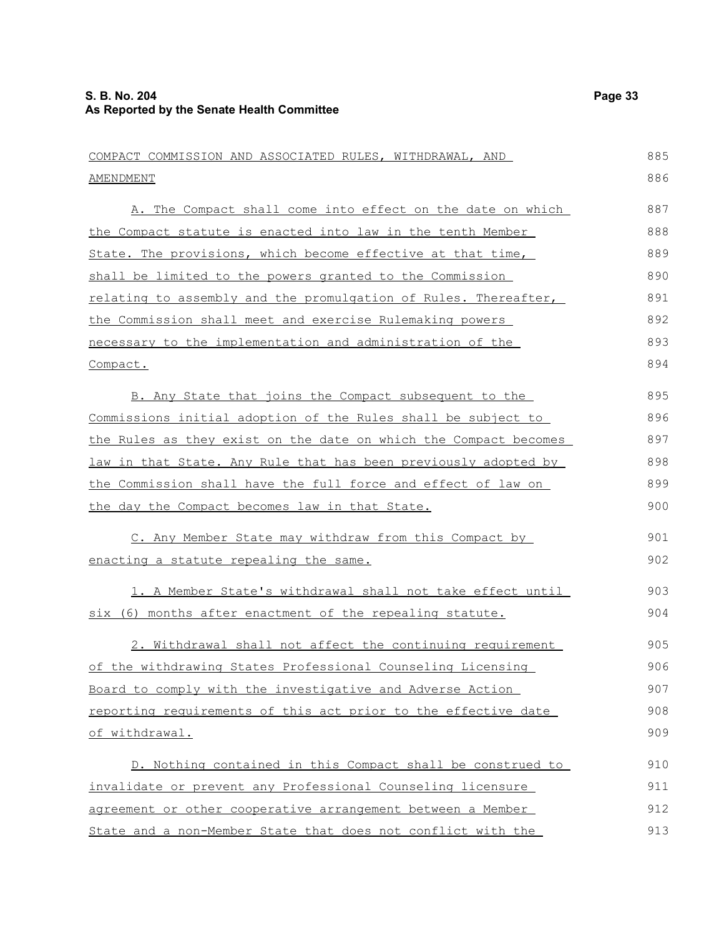| COMPACT COMMISSION AND ASSOCIATED RULES, WITHDRAWAL, AND                               |
|----------------------------------------------------------------------------------------|
| AMENDMENT                                                                              |
| A. The Compact shall come into effect on the date on which                             |
| the Compact statute is enacted into law in the tenth Member                            |
| State. The provisions, which become effective at that time,                            |
| $ab \circ 11$ be $1 \cdot m \cdot b \circ d$ to the personal graphed to the Commission |

| shall be limited to the powers granted to the Commission        | 890 |
|-----------------------------------------------------------------|-----|
| relating to assembly and the promulgation of Rules. Thereafter, | 891 |
| the Commission shall meet and exercise Rulemaking powers        | 892 |
| necessary to the implementation and administration of the       | 893 |
| Compact.                                                        | 894 |

B. Any State that joins the Compact subsequent to the Commissions initial adoption of the Rules shall be subject to the Rules as they exist on the date on which the Compact becomes law in that State. Any Rule that has been previously adopted by the Commission shall have the full force and effect of law on the day the Compact becomes law in that State. 895 896 897 898 899 900

C. Any Member State may withdraw from this Compact by enacting a statute repealing the same. 901 902

1. A Member State's withdrawal shall not take effect until six (6) months after enactment of the repealing statute. 903 904

2. Withdrawal shall not affect the continuing requirement of the withdrawing States Professional Counseling Licensing Board to comply with the investigative and Adverse Action reporting requirements of this act prior to the effective date of withdrawal. 905 906 907 908 909

D. Nothing contained in this Compact shall be construed to invalidate or prevent any Professional Counseling licensure agreement or other cooperative arrangement between a Member State and a non-Member State that does not conflict with the 910 911 912 913

885 886

887 888 889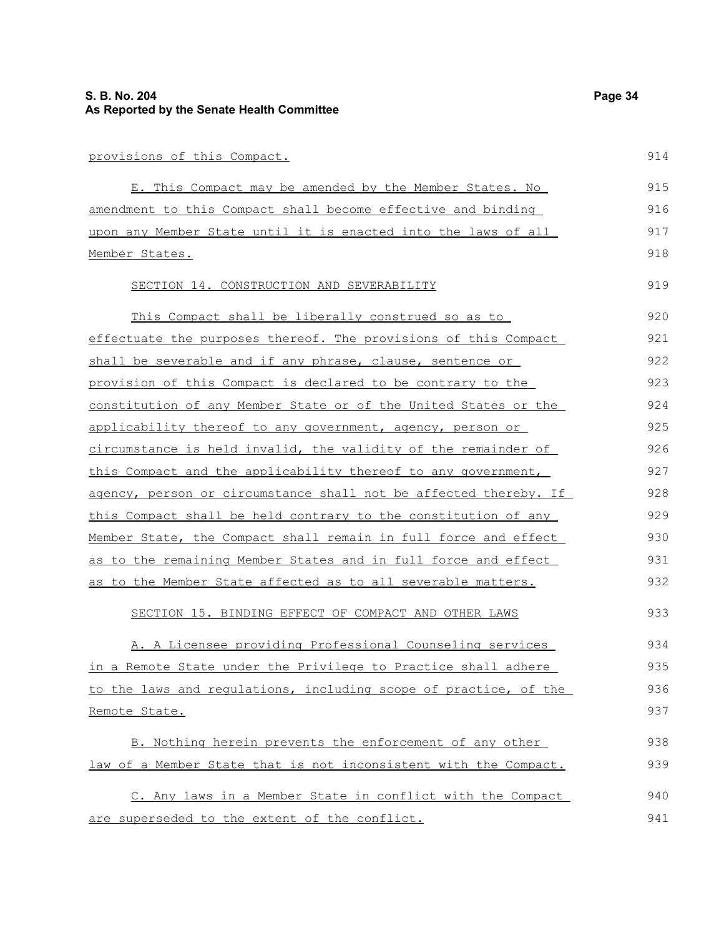| provisions of this Compact.                                              | 914   |
|--------------------------------------------------------------------------|-------|
| E. This Compact may be amended by the Member States. No                  | 915   |
| amendment to this Compact shall become effective and binding             | 916   |
| upon any Member State until it is enacted into the laws of all           | 917   |
| Member States.                                                           | 918   |
| SECTION 14. CONSTRUCTION AND SEVERABILITY                                | 919   |
| This Compact shall be liberally construed so as to                       | 920   |
| effectuate the purposes thereof. The provisions of this Compact          | 921   |
| shall be severable and if any phrase, clause, sentence or                | 922   |
| provision of this Compact is declared to be contrary to the              | 923   |
| constitution of any Member State or of the United States or the          | 924   |
| applicability thereof to any government, agency, person or               | 925   |
| circumstance is held invalid, the validity of the remainder of           | 926   |
| this Compact and the applicability thereof to any government,            | 927   |
| <u>agency, person or circumstance shall not be affected thereby. If </u> | 928   |
| this Compact shall be held contrary to the constitution of any           | 929   |
| Member State, the Compact shall remain in full force and effect          | 930   |
| <u>as to the remaining Member States and in full force and effect</u>    | 931   |
| as to the Member State affected as to all severable matters.             | 932   |
| SECTION 15. BINDING EFFECT OF COMPACT AND OTHER LAWS                     | 933   |
| .                                                                        | $  -$ |

A. A Licensee providing Professional Counseling services in a Remote State under the Privilege to Practice shall adhere to the laws and regulations, including scope of practice, of the Remote State. 934 935 936 937

B. Nothing herein prevents the enforcement of any other law of a Member State that is not inconsistent with the Compact. 938 939 940

C. Any laws in a Member State in conflict with the Compact are superseded to the extent of the conflict. 941